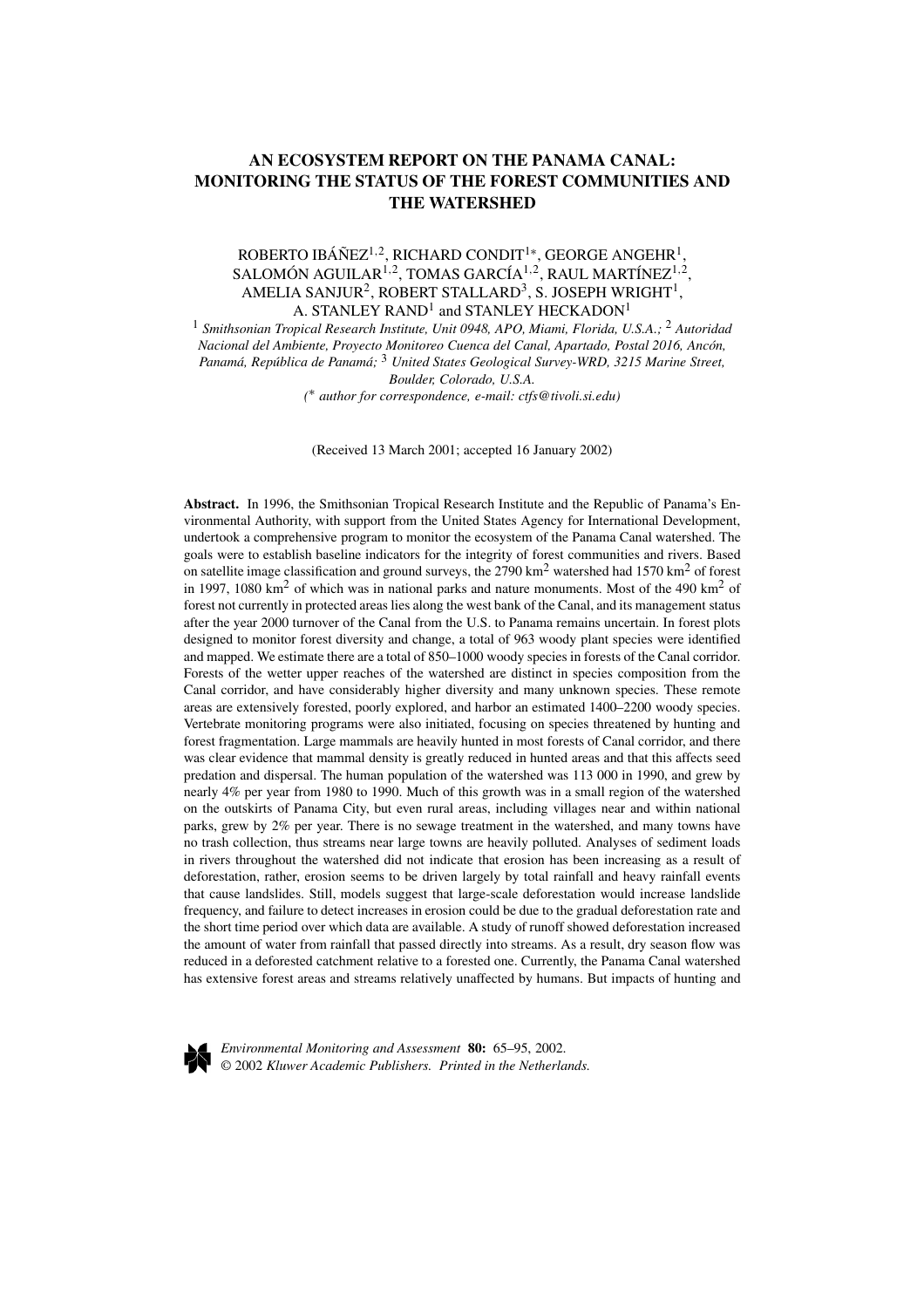# **AN ECOSYSTEM REPORT ON THE PANAMA CANAL: MONITORING THE STATUS OF THE FOREST COMMUNITIES AND THE WATERSHED**

# ROBERTO IBÁÑEZ<sup>1,2</sup>, RICHARD CONDIT<sup>1</sup>\*, GEORGE ANGEHR<sup>1</sup>, SALOMÓN AGUILAR1*,*2, TOMAS GARCÍA1*,*2, RAUL MARTÍNEZ1*,*2, AMELIA SANJUR<sup>2</sup>, ROBERT STALLARD<sup>3</sup>, S. JOSEPH WRIGHT<sup>1</sup>, A. STANLEY RAND<sup>1</sup> and STANLEY HECKADON<sup>1</sup>

<sup>1</sup> *Smithsonian Tropical Research Institute, Unit 0948, APO, Miami, Florida, U.S.A.;* <sup>2</sup> *Autoridad Nacional del Ambiente, Proyecto Monitoreo Cuenca del Canal, Apartado, Postal 2016, Ancón, Panamá, República de Panamá;* <sup>3</sup> *United States Geological Survey-WRD, 3215 Marine Street, Boulder, Colorado, U.S.A. (* ∗ *author for correspondence, e-mail: ctfs@tivoli.si.edu)*

(Received 13 March 2001; accepted 16 January 2002)

**Abstract.** In 1996, the Smithsonian Tropical Research Institute and the Republic of Panama's Environmental Authority, with support from the United States Agency for International Development, undertook a comprehensive program to monitor the ecosystem of the Panama Canal watershed. The goals were to establish baseline indicators for the integrity of forest communities and rivers. Based on satellite image classification and ground surveys, the 2790 km<sup>2</sup> watershed had 1570 km<sup>2</sup> of forest in 1997, 1080 km<sup>2</sup> of which was in national parks and nature monuments. Most of the 490 km<sup>2</sup> of forest not currently in protected areas lies along the west bank of the Canal, and its management status after the year 2000 turnover of the Canal from the U.S. to Panama remains uncertain. In forest plots designed to monitor forest diversity and change, a total of 963 woody plant species were identified and mapped. We estimate there are a total of 850–1000 woody species in forests of the Canal corridor. Forests of the wetter upper reaches of the watershed are distinct in species composition from the Canal corridor, and have considerably higher diversity and many unknown species. These remote areas are extensively forested, poorly explored, and harbor an estimated 1400–2200 woody species. Vertebrate monitoring programs were also initiated, focusing on species threatened by hunting and forest fragmentation. Large mammals are heavily hunted in most forests of Canal corridor, and there was clear evidence that mammal density is greatly reduced in hunted areas and that this affects seed predation and dispersal. The human population of the watershed was 113 000 in 1990, and grew by nearly 4% per year from 1980 to 1990. Much of this growth was in a small region of the watershed on the outskirts of Panama City, but even rural areas, including villages near and within national parks, grew by 2% per year. There is no sewage treatment in the watershed, and many towns have no trash collection, thus streams near large towns are heavily polluted. Analyses of sediment loads in rivers throughout the watershed did not indicate that erosion has been increasing as a result of deforestation, rather, erosion seems to be driven largely by total rainfall and heavy rainfall events that cause landslides. Still, models suggest that large-scale deforestation would increase landslide frequency, and failure to detect increases in erosion could be due to the gradual deforestation rate and the short time period over which data are available. A study of runoff showed deforestation increased the amount of water from rainfall that passed directly into streams. As a result, dry season flow was reduced in a deforested catchment relative to a forested one. Currently, the Panama Canal watershed has extensive forest areas and streams relatively unaffected by humans. But impacts of hunting and



*Environmental Monitoring and Assessment* **80:** 65–95, 2002. © 2002 *Kluwer Academic Publishers. Printed in the Netherlands.*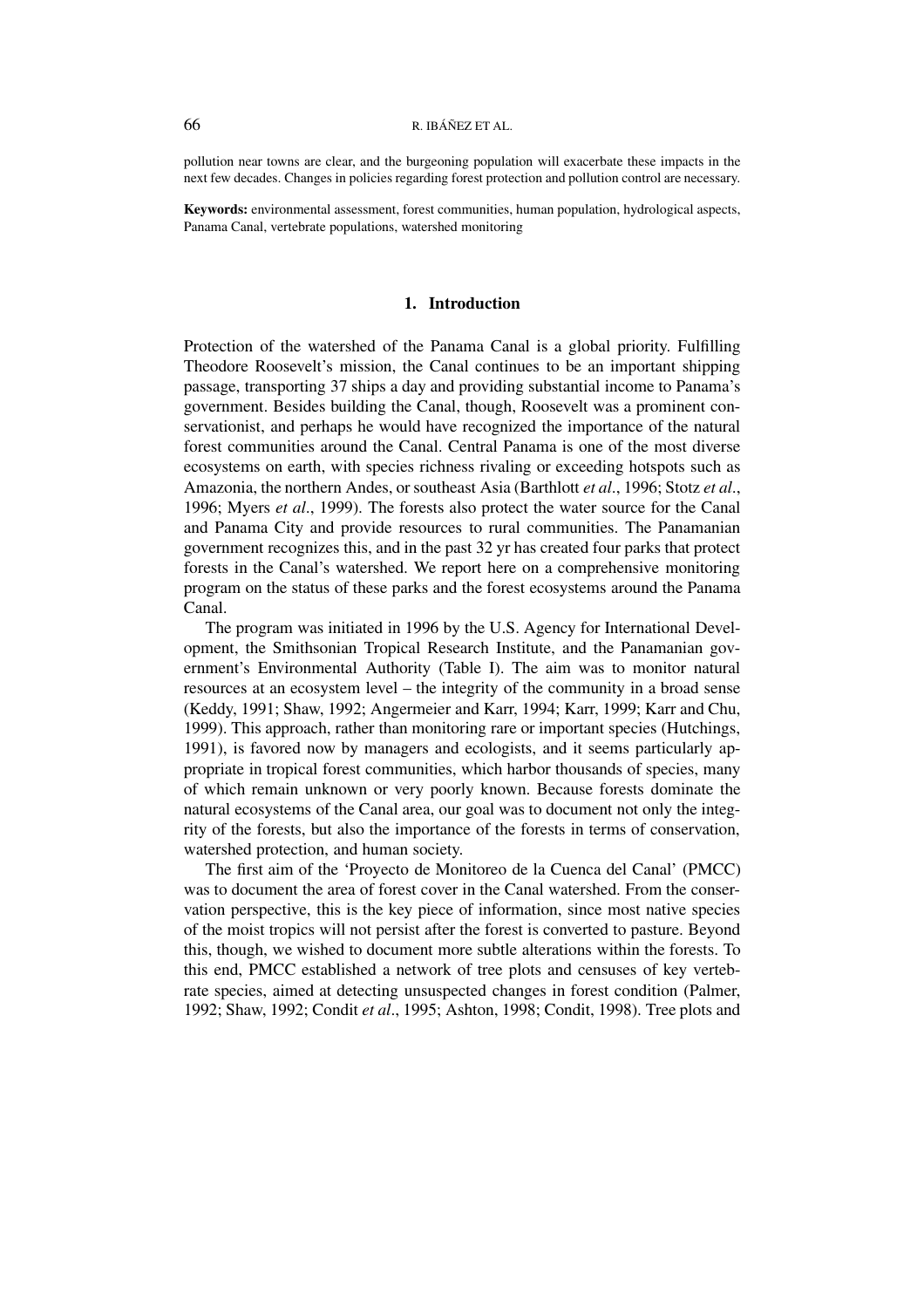#### 66 R. IBAÑEZ ET AL. ´

pollution near towns are clear, and the burgeoning population will exacerbate these impacts in the next few decades. Changes in policies regarding forest protection and pollution control are necessary.

**Keywords:** environmental assessment, forest communities, human population, hydrological aspects, Panama Canal, vertebrate populations, watershed monitoring

#### **1. Introduction**

Protection of the watershed of the Panama Canal is a global priority. Fulfilling Theodore Roosevelt's mission, the Canal continues to be an important shipping passage, transporting 37 ships a day and providing substantial income to Panama's government. Besides building the Canal, though, Roosevelt was a prominent conservationist, and perhaps he would have recognized the importance of the natural forest communities around the Canal. Central Panama is one of the most diverse ecosystems on earth, with species richness rivaling or exceeding hotspots such as Amazonia, the northern Andes, or southeast Asia (Barthlott *et al*., 1996; Stotz *et al*., 1996; Myers *et al*., 1999). The forests also protect the water source for the Canal and Panama City and provide resources to rural communities. The Panamanian government recognizes this, and in the past 32 yr has created four parks that protect forests in the Canal's watershed. We report here on a comprehensive monitoring program on the status of these parks and the forest ecosystems around the Panama Canal.

The program was initiated in 1996 by the U.S. Agency for International Development, the Smithsonian Tropical Research Institute, and the Panamanian government's Environmental Authority (Table I). The aim was to monitor natural resources at an ecosystem level – the integrity of the community in a broad sense (Keddy, 1991; Shaw, 1992; Angermeier and Karr, 1994; Karr, 1999; Karr and Chu, 1999). This approach, rather than monitoring rare or important species (Hutchings, 1991), is favored now by managers and ecologists, and it seems particularly appropriate in tropical forest communities, which harbor thousands of species, many of which remain unknown or very poorly known. Because forests dominate the natural ecosystems of the Canal area, our goal was to document not only the integrity of the forests, but also the importance of the forests in terms of conservation, watershed protection, and human society.

The first aim of the 'Proyecto de Monitoreo de la Cuenca del Canal' (PMCC) was to document the area of forest cover in the Canal watershed. From the conservation perspective, this is the key piece of information, since most native species of the moist tropics will not persist after the forest is converted to pasture. Beyond this, though, we wished to document more subtle alterations within the forests. To this end, PMCC established a network of tree plots and censuses of key vertebrate species, aimed at detecting unsuspected changes in forest condition (Palmer, 1992; Shaw, 1992; Condit *et al*., 1995; Ashton, 1998; Condit, 1998). Tree plots and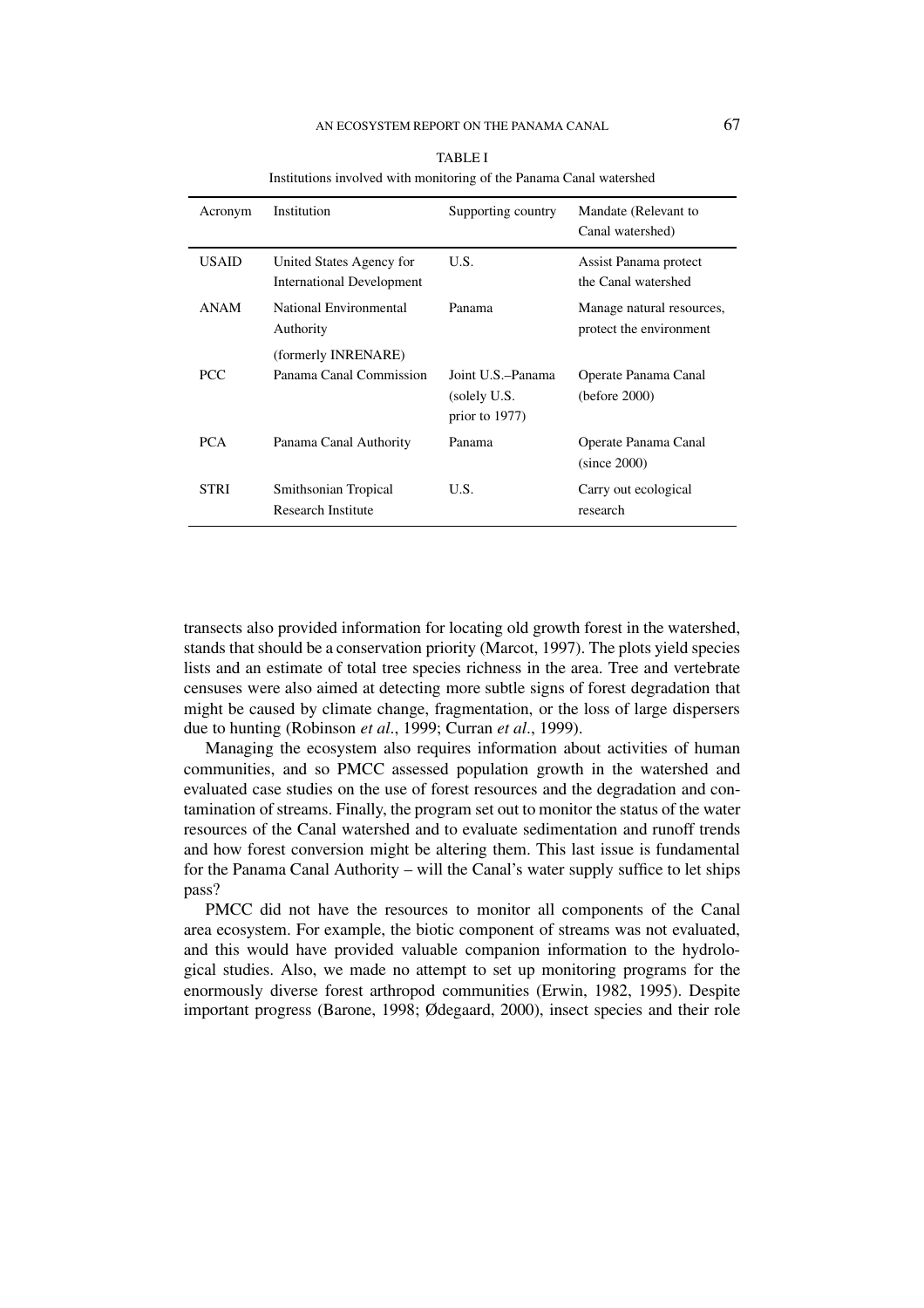| Acronym      | Institution                                                  | Supporting country                                      | Mandate (Relevant to<br>Canal watershed)             |
|--------------|--------------------------------------------------------------|---------------------------------------------------------|------------------------------------------------------|
| <b>USAID</b> | United States Agency for<br><b>International Development</b> | U.S.                                                    | Assist Panama protect<br>the Canal watershed         |
| ANAM         | National Environmental<br>Authority                          | Panama                                                  | Manage natural resources,<br>protect the environment |
|              | (formerly INRENARE)                                          |                                                         |                                                      |
| <b>PCC</b>   | Panama Canal Commission                                      | Joint U.S.–Panama<br>(solely U.S.)<br>prior to $1977$ ) | Operate Panama Canal<br>(before 2000)                |
| <b>PCA</b>   | Panama Canal Authority                                       | Panama                                                  | Operate Panama Canal<br>(since 2000)                 |
| <b>STRI</b>  | Smithsonian Tropical<br><b>Research Institute</b>            | U.S.                                                    | Carry out ecological<br>research                     |

TABLE I

Institutions involved with monitoring of the Panama Canal watershed

transects also provided information for locating old growth forest in the watershed, stands that should be a conservation priority (Marcot, 1997). The plots yield species lists and an estimate of total tree species richness in the area. Tree and vertebrate censuses were also aimed at detecting more subtle signs of forest degradation that might be caused by climate change, fragmentation, or the loss of large dispersers due to hunting (Robinson *et al*., 1999; Curran *et al*., 1999).

Managing the ecosystem also requires information about activities of human communities, and so PMCC assessed population growth in the watershed and evaluated case studies on the use of forest resources and the degradation and contamination of streams. Finally, the program set out to monitor the status of the water resources of the Canal watershed and to evaluate sedimentation and runoff trends and how forest conversion might be altering them. This last issue is fundamental for the Panama Canal Authority – will the Canal's water supply suffice to let ships pass?

PMCC did not have the resources to monitor all components of the Canal area ecosystem. For example, the biotic component of streams was not evaluated, and this would have provided valuable companion information to the hydrological studies. Also, we made no attempt to set up monitoring programs for the enormously diverse forest arthropod communities (Erwin, 1982, 1995). Despite important progress (Barone, 1998; Ødegaard, 2000), insect species and their role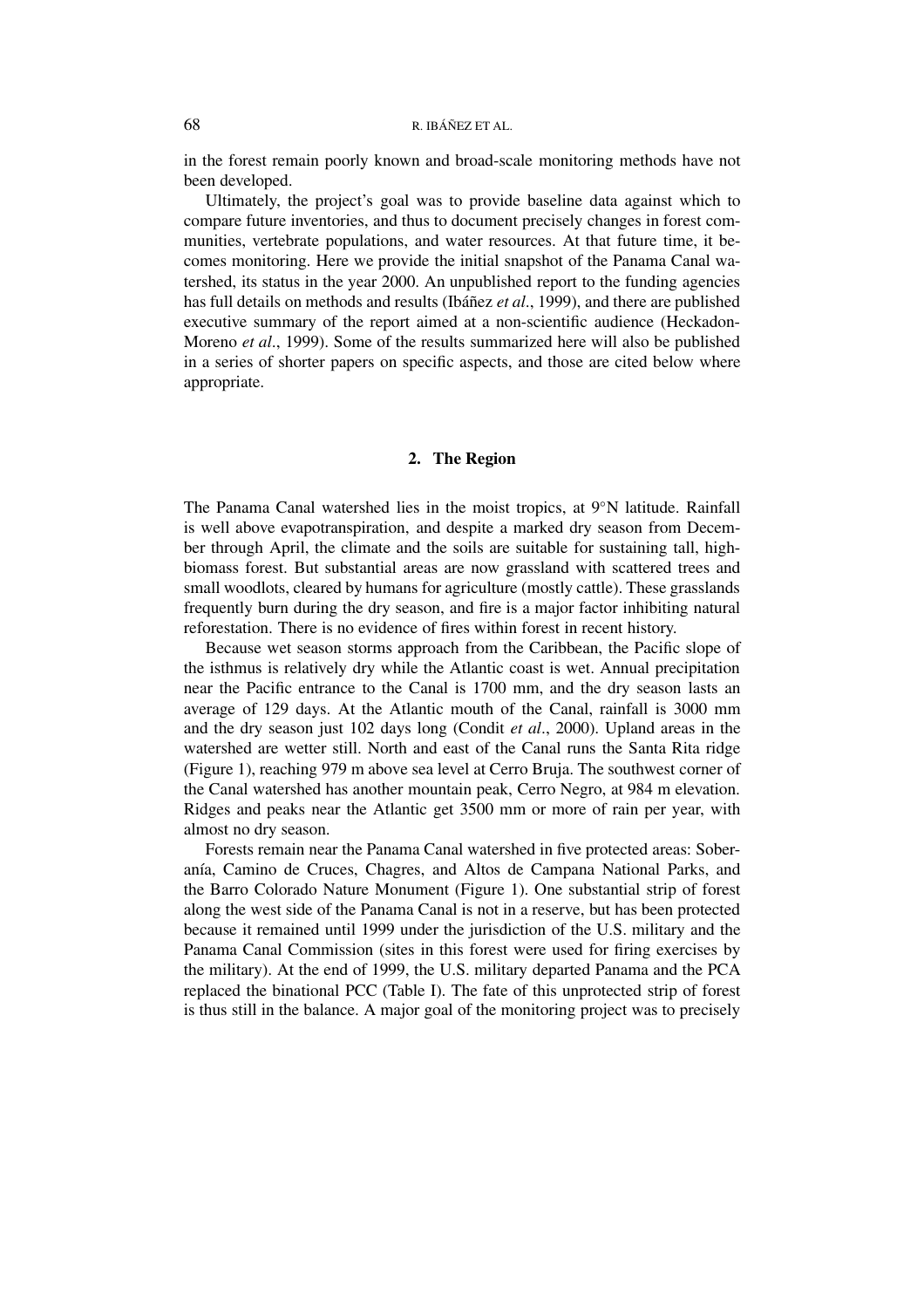#### 68 R. IBAÑEZ ET AL. ´

in the forest remain poorly known and broad-scale monitoring methods have not been developed.

Ultimately, the project's goal was to provide baseline data against which to compare future inventories, and thus to document precisely changes in forest communities, vertebrate populations, and water resources. At that future time, it becomes monitoring. Here we provide the initial snapshot of the Panama Canal watershed, its status in the year 2000. An unpublished report to the funding agencies has full details on methods and results (Ibáñez *et al*., 1999), and there are published executive summary of the report aimed at a non-scientific audience (Heckadon-Moreno *et al*., 1999). Some of the results summarized here will also be published in a series of shorter papers on specific aspects, and those are cited below where appropriate.

# **2. The Region**

The Panama Canal watershed lies in the moist tropics, at 9◦N latitude. Rainfall is well above evapotranspiration, and despite a marked dry season from December through April, the climate and the soils are suitable for sustaining tall, highbiomass forest. But substantial areas are now grassland with scattered trees and small woodlots, cleared by humans for agriculture (mostly cattle). These grasslands frequently burn during the dry season, and fire is a major factor inhibiting natural reforestation. There is no evidence of fires within forest in recent history.

Because wet season storms approach from the Caribbean, the Pacific slope of the isthmus is relatively dry while the Atlantic coast is wet. Annual precipitation near the Pacific entrance to the Canal is 1700 mm, and the dry season lasts an average of 129 days. At the Atlantic mouth of the Canal, rainfall is 3000 mm and the dry season just 102 days long (Condit *et al*., 2000). Upland areas in the watershed are wetter still. North and east of the Canal runs the Santa Rita ridge (Figure 1), reaching 979 m above sea level at Cerro Bruja. The southwest corner of the Canal watershed has another mountain peak, Cerro Negro, at 984 m elevation. Ridges and peaks near the Atlantic get 3500 mm or more of rain per year, with almost no dry season.

Forests remain near the Panama Canal watershed in five protected areas: Soberanía, Camino de Cruces, Chagres, and Altos de Campana National Parks, and the Barro Colorado Nature Monument (Figure 1). One substantial strip of forest along the west side of the Panama Canal is not in a reserve, but has been protected because it remained until 1999 under the jurisdiction of the U.S. military and the Panama Canal Commission (sites in this forest were used for firing exercises by the military). At the end of 1999, the U.S. military departed Panama and the PCA replaced the binational PCC (Table I). The fate of this unprotected strip of forest is thus still in the balance. A major goal of the monitoring project was to precisely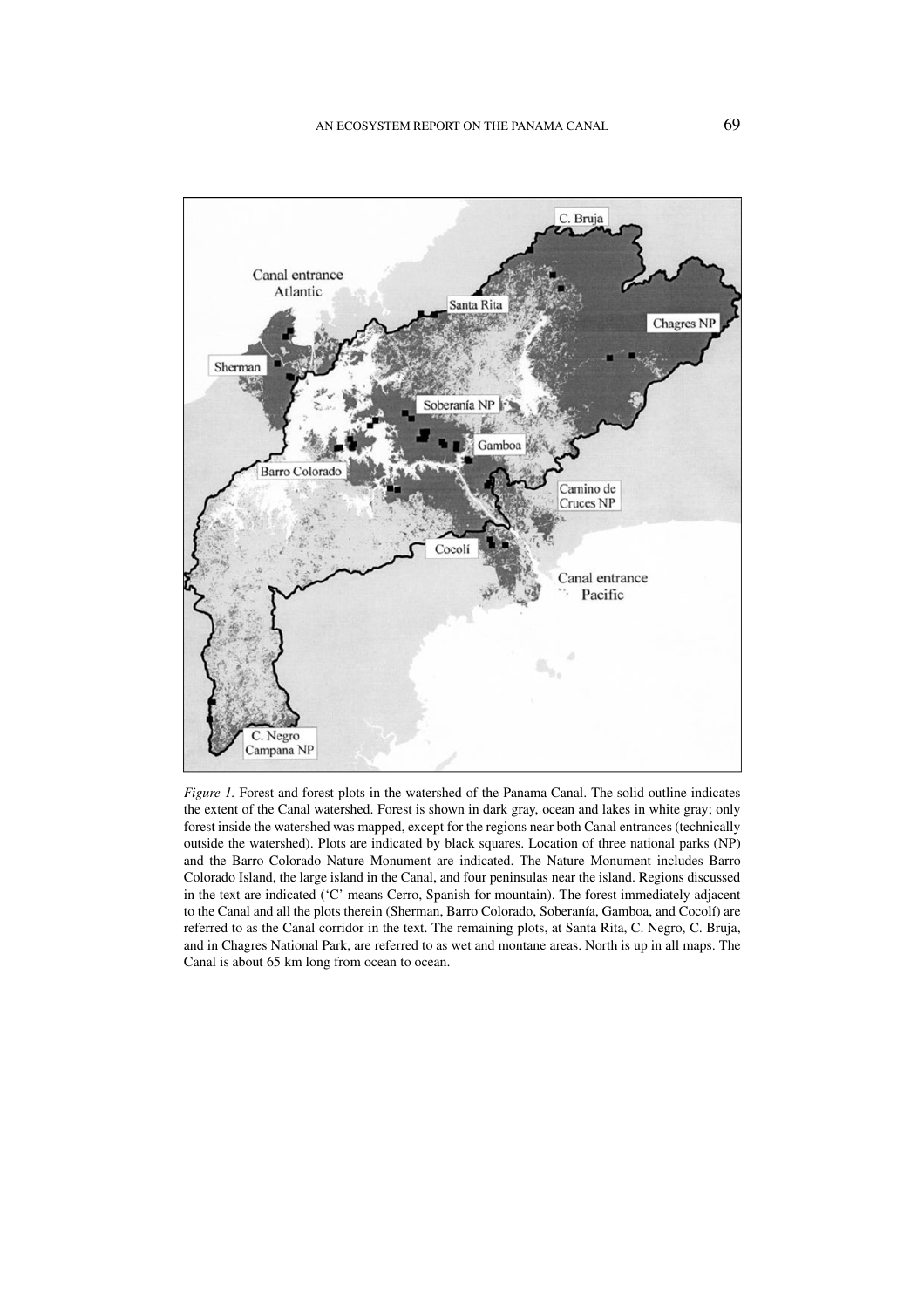

*Figure 1.* Forest and forest plots in the watershed of the Panama Canal. The solid outline indicates the extent of the Canal watershed. Forest is shown in dark gray, ocean and lakes in white gray; only forest inside the watershed was mapped, except for the regions near both Canal entrances (technically outside the watershed). Plots are indicated by black squares. Location of three national parks (NP) and the Barro Colorado Nature Monument are indicated. The Nature Monument includes Barro Colorado Island, the large island in the Canal, and four peninsulas near the island. Regions discussed in the text are indicated ('C' means Cerro, Spanish for mountain). The forest immediately adjacent to the Canal and all the plots therein (Sherman, Barro Colorado, Soberanía, Gamboa, and Cocolí) are referred to as the Canal corridor in the text. The remaining plots, at Santa Rita, C. Negro, C. Bruja, and in Chagres National Park, are referred to as wet and montane areas. North is up in all maps. The Canal is about 65 km long from ocean to ocean.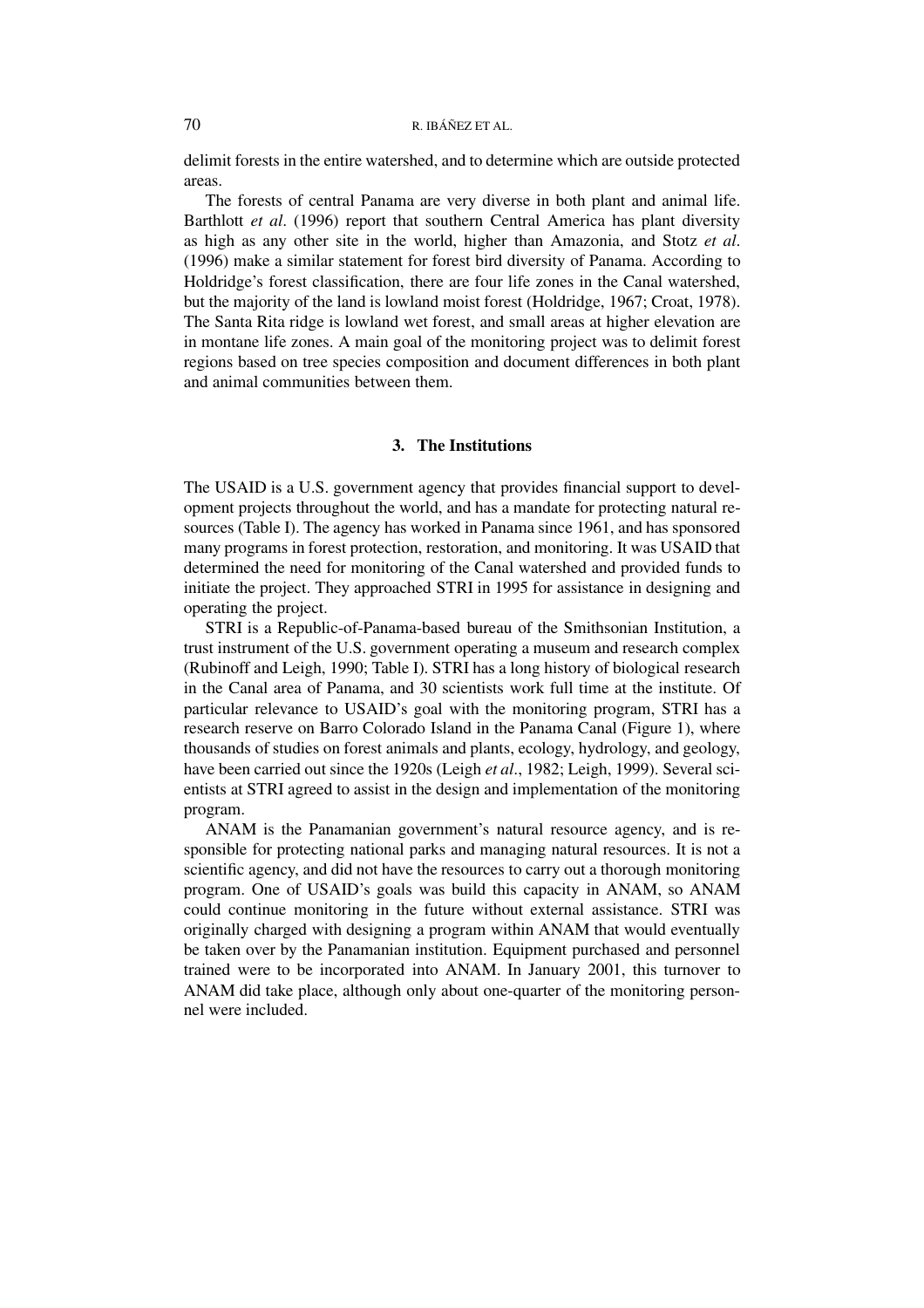## 70 R. IBAÑEZ ET AL. ´

delimit forests in the entire watershed, and to determine which are outside protected areas.

The forests of central Panama are very diverse in both plant and animal life. Barthlott *et al*. (1996) report that southern Central America has plant diversity as high as any other site in the world, higher than Amazonia, and Stotz *et al*. (1996) make a similar statement for forest bird diversity of Panama. According to Holdridge's forest classification, there are four life zones in the Canal watershed, but the majority of the land is lowland moist forest (Holdridge, 1967; Croat, 1978). The Santa Rita ridge is lowland wet forest, and small areas at higher elevation are in montane life zones. A main goal of the monitoring project was to delimit forest regions based on tree species composition and document differences in both plant and animal communities between them.

# **3. The Institutions**

The USAID is a U.S. government agency that provides financial support to development projects throughout the world, and has a mandate for protecting natural resources (Table I). The agency has worked in Panama since 1961, and has sponsored many programs in forest protection, restoration, and monitoring. It was USAID that determined the need for monitoring of the Canal watershed and provided funds to initiate the project. They approached STRI in 1995 for assistance in designing and operating the project.

STRI is a Republic-of-Panama-based bureau of the Smithsonian Institution, a trust instrument of the U.S. government operating a museum and research complex (Rubinoff and Leigh, 1990; Table I). STRI has a long history of biological research in the Canal area of Panama, and 30 scientists work full time at the institute. Of particular relevance to USAID's goal with the monitoring program, STRI has a research reserve on Barro Colorado Island in the Panama Canal (Figure 1), where thousands of studies on forest animals and plants, ecology, hydrology, and geology, have been carried out since the 1920s (Leigh *et al*., 1982; Leigh, 1999). Several scientists at STRI agreed to assist in the design and implementation of the monitoring program.

ANAM is the Panamanian government's natural resource agency, and is responsible for protecting national parks and managing natural resources. It is not a scientific agency, and did not have the resources to carry out a thorough monitoring program. One of USAID's goals was build this capacity in ANAM, so ANAM could continue monitoring in the future without external assistance. STRI was originally charged with designing a program within ANAM that would eventually be taken over by the Panamanian institution. Equipment purchased and personnel trained were to be incorporated into ANAM. In January 2001, this turnover to ANAM did take place, although only about one-quarter of the monitoring personnel were included.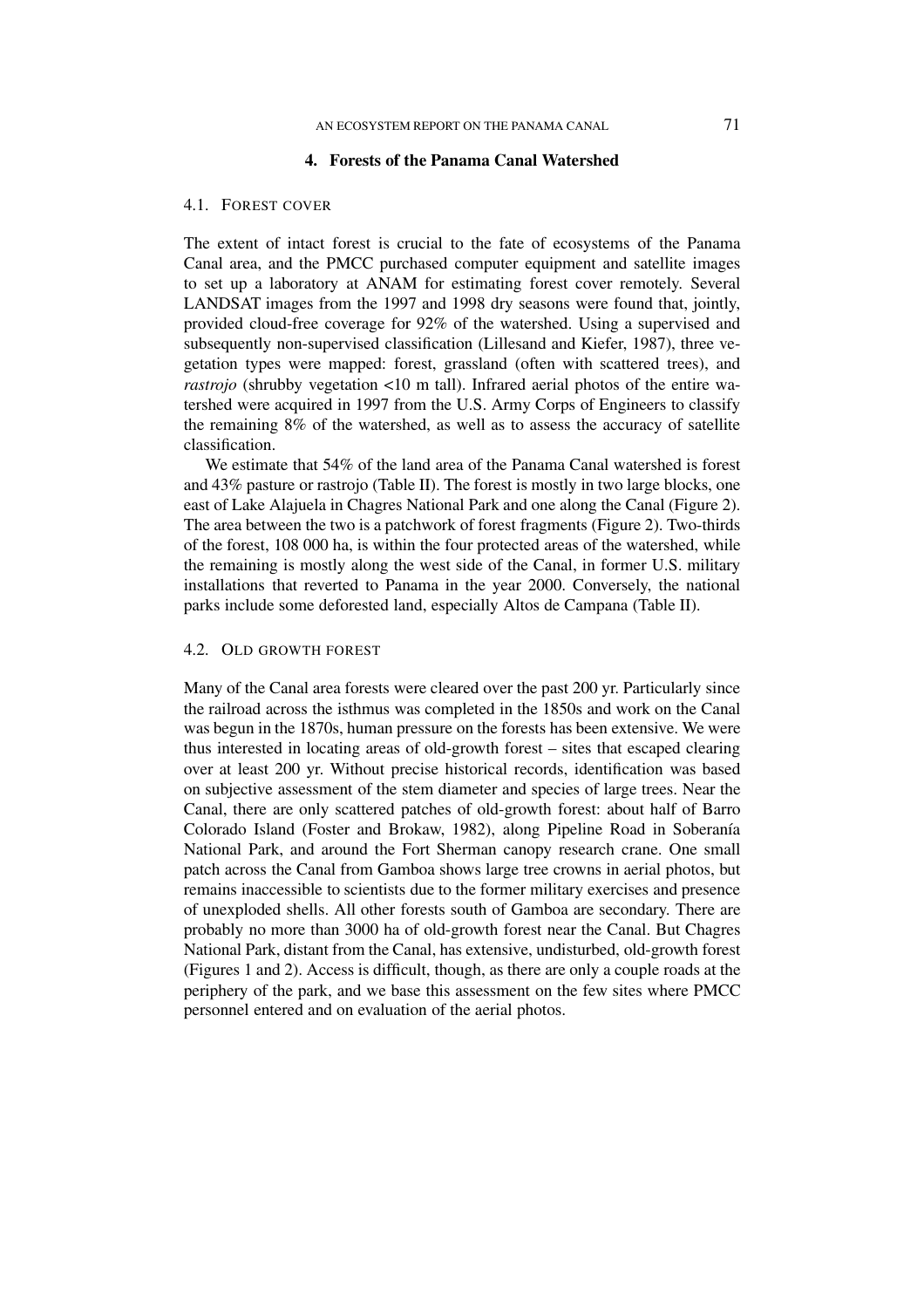# **4. Forests of the Panama Canal Watershed**

#### 4.1. FOREST COVER

The extent of intact forest is crucial to the fate of ecosystems of the Panama Canal area, and the PMCC purchased computer equipment and satellite images to set up a laboratory at ANAM for estimating forest cover remotely. Several LANDSAT images from the 1997 and 1998 dry seasons were found that, jointly, provided cloud-free coverage for 92% of the watershed. Using a supervised and subsequently non-supervised classification (Lillesand and Kiefer, 1987), three vegetation types were mapped: forest, grassland (often with scattered trees), and *rastrojo* (shrubby vegetation <10 m tall). Infrared aerial photos of the entire watershed were acquired in 1997 from the U.S. Army Corps of Engineers to classify the remaining 8% of the watershed, as well as to assess the accuracy of satellite classification.

We estimate that 54% of the land area of the Panama Canal watershed is forest and 43% pasture or rastrojo (Table II). The forest is mostly in two large blocks, one east of Lake Alajuela in Chagres National Park and one along the Canal (Figure 2). The area between the two is a patchwork of forest fragments (Figure 2). Two-thirds of the forest, 108 000 ha, is within the four protected areas of the watershed, while the remaining is mostly along the west side of the Canal, in former U.S. military installations that reverted to Panama in the year 2000. Conversely, the national parks include some deforested land, especially Altos de Campana (Table II).

#### 4.2. OLD GROWTH FOREST

Many of the Canal area forests were cleared over the past 200 yr. Particularly since the railroad across the isthmus was completed in the 1850s and work on the Canal was begun in the 1870s, human pressure on the forests has been extensive. We were thus interested in locating areas of old-growth forest – sites that escaped clearing over at least 200 yr. Without precise historical records, identification was based on subjective assessment of the stem diameter and species of large trees. Near the Canal, there are only scattered patches of old-growth forest: about half of Barro Colorado Island (Foster and Brokaw, 1982), along Pipeline Road in Soberanía National Park, and around the Fort Sherman canopy research crane. One small patch across the Canal from Gamboa shows large tree crowns in aerial photos, but remains inaccessible to scientists due to the former military exercises and presence of unexploded shells. All other forests south of Gamboa are secondary. There are probably no more than 3000 ha of old-growth forest near the Canal. But Chagres National Park, distant from the Canal, has extensive, undisturbed, old-growth forest (Figures 1 and 2). Access is difficult, though, as there are only a couple roads at the periphery of the park, and we base this assessment on the few sites where PMCC personnel entered and on evaluation of the aerial photos.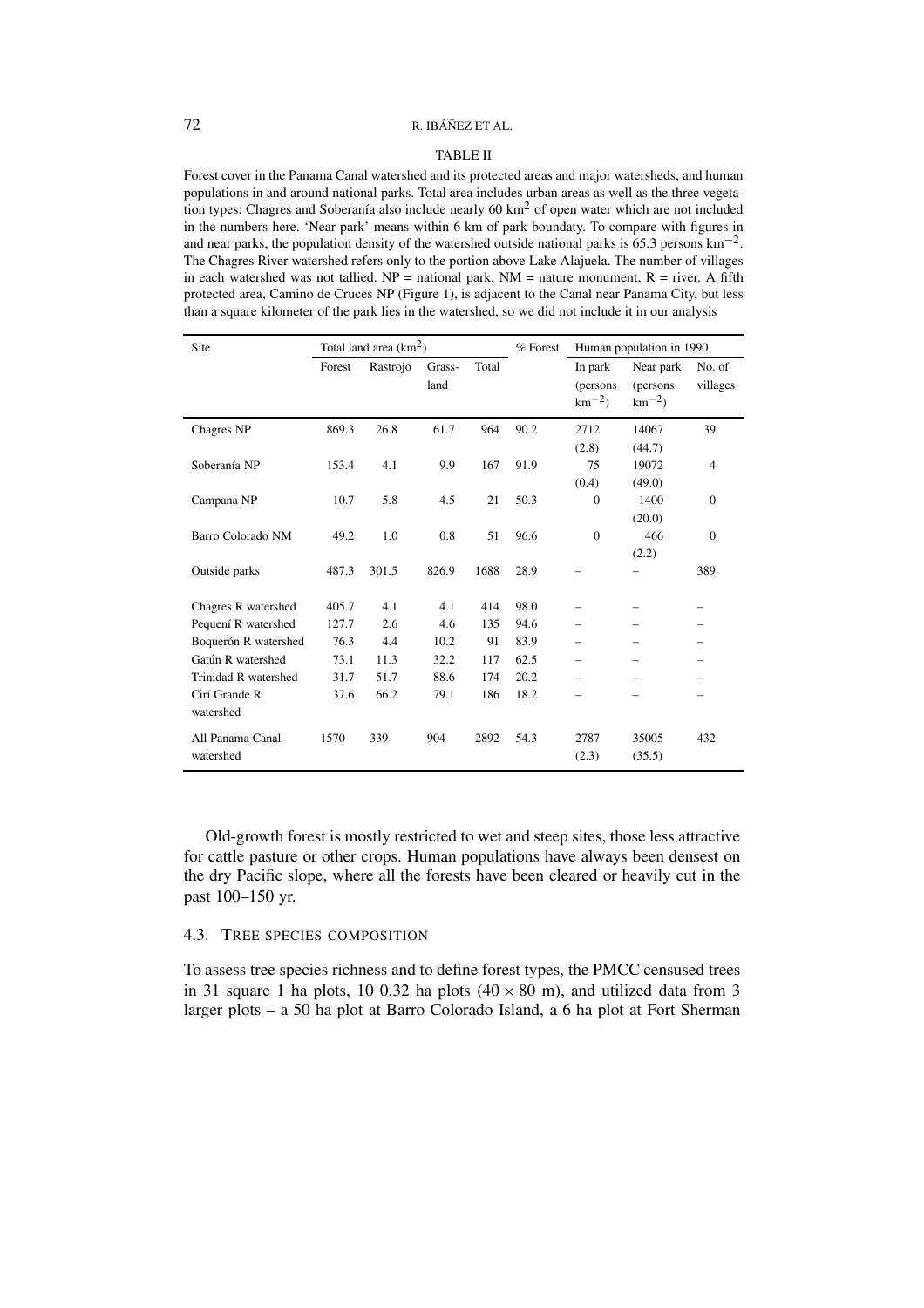#### 72 R. IBAÑEZ ET AL. ´

#### TABLE II

Forest cover in the Panama Canal watershed and its protected areas and major watersheds, and human populations in and around national parks. Total area includes urban areas as well as the three vegetation types; Chagres and Soberanía also include nearly  $60 \text{ km}^2$  of open water which are not included in the numbers here. 'Near park' means within 6 km of park boundaty. To compare with figures in and near parks, the population density of the watershed outside national parks is 65.3 persons  $\text{km}^{-2}$ . The Chagres River watershed refers only to the portion above Lake Alajuela. The number of villages in each watershed was not tallied.  $NP =$  national park,  $NM =$  nature monument,  $R =$  river. A fifth protected area, Camino de Cruces NP (Figure 1), is adjacent to the Canal near Panama City, but less than a square kilometer of the park lies in the watershed, so we did not include it in our analysis

| Site                 | Total land area $(km^2)$ |          | % Forest | Human population in 1990 |      |                              |                          |                |
|----------------------|--------------------------|----------|----------|--------------------------|------|------------------------------|--------------------------|----------------|
|                      | Forest                   | Rastrojo | Grass-   | Total                    |      | In park                      | Near park                | No. of         |
|                      |                          |          | land     |                          |      | (persons)<br>$\rm km^{-2}$ ) | (persons)<br>$km^{-2}$ ) | villages       |
| Chagres NP           | 869.3                    | 26.8     | 61.7     | 964                      | 90.2 | 2712                         | 14067                    | 39             |
|                      |                          |          |          |                          |      | (2.8)                        | (44.7)                   |                |
| Soberanía NP         | 153.4                    | 4.1      | 9.9      | 167                      | 91.9 | 75                           | 19072                    | $\overline{4}$ |
|                      |                          |          |          |                          |      | (0.4)                        | (49.0)                   |                |
| Campana NP           | 10.7                     | 5.8      | 4.5      | 21                       | 50.3 | $\mathbf{0}$                 | 1400                     | $\mathbf{0}$   |
|                      |                          |          |          |                          |      |                              | (20.0)                   |                |
| Barro Colorado NM    | 49.2                     | 1.0      | 0.8      | 51                       | 96.6 | $\Omega$                     | 466                      | $\mathbf{0}$   |
|                      |                          |          |          |                          |      |                              | (2.2)                    |                |
| Outside parks        | 487.3                    | 301.5    | 826.9    | 1688                     | 28.9 |                              |                          | 389            |
|                      |                          |          |          |                          |      |                              |                          |                |
| Chagres R watershed  | 405.7                    | 4.1      | 4.1      | 414                      | 98.0 |                              |                          |                |
| Pequení R watershed  | 127.7                    | 2.6      | 4.6      | 135                      | 94.6 |                              |                          |                |
| Boquerón R watershed | 76.3                     | 4.4      | 10.2     | 91                       | 83.9 |                              |                          |                |
| Gatún R watershed    | 73.1                     | 11.3     | 32.2     | 117                      | 62.5 |                              |                          |                |
| Trinidad R watershed | 31.7                     | 51.7     | 88.6     | 174                      | 20.2 |                              |                          |                |
| Cirí Grande R        | 37.6                     | 66.2     | 79.1     | 186                      | 18.2 |                              |                          |                |
| watershed            |                          |          |          |                          |      |                              |                          |                |
| All Panama Canal     | 1570                     | 339      | 904      | 2892                     | 54.3 | 2787                         | 35005                    | 432            |
| watershed            |                          |          |          |                          |      | (2.3)                        | (35.5)                   |                |
|                      |                          |          |          |                          |      |                              |                          |                |

Old-growth forest is mostly restricted to wet and steep sites, those less attractive for cattle pasture or other crops. Human populations have always been densest on the dry Pacific slope, where all the forests have been cleared or heavily cut in the past 100–150 yr.

#### 4.3. TREE SPECIES COMPOSITION

To assess tree species richness and to define forest types, the PMCC censused trees in 31 square 1 ha plots, 10 0.32 ha plots  $(40 \times 80 \text{ m})$ , and utilized data from 3 larger plots – a 50 ha plot at Barro Colorado Island, a 6 ha plot at Fort Sherman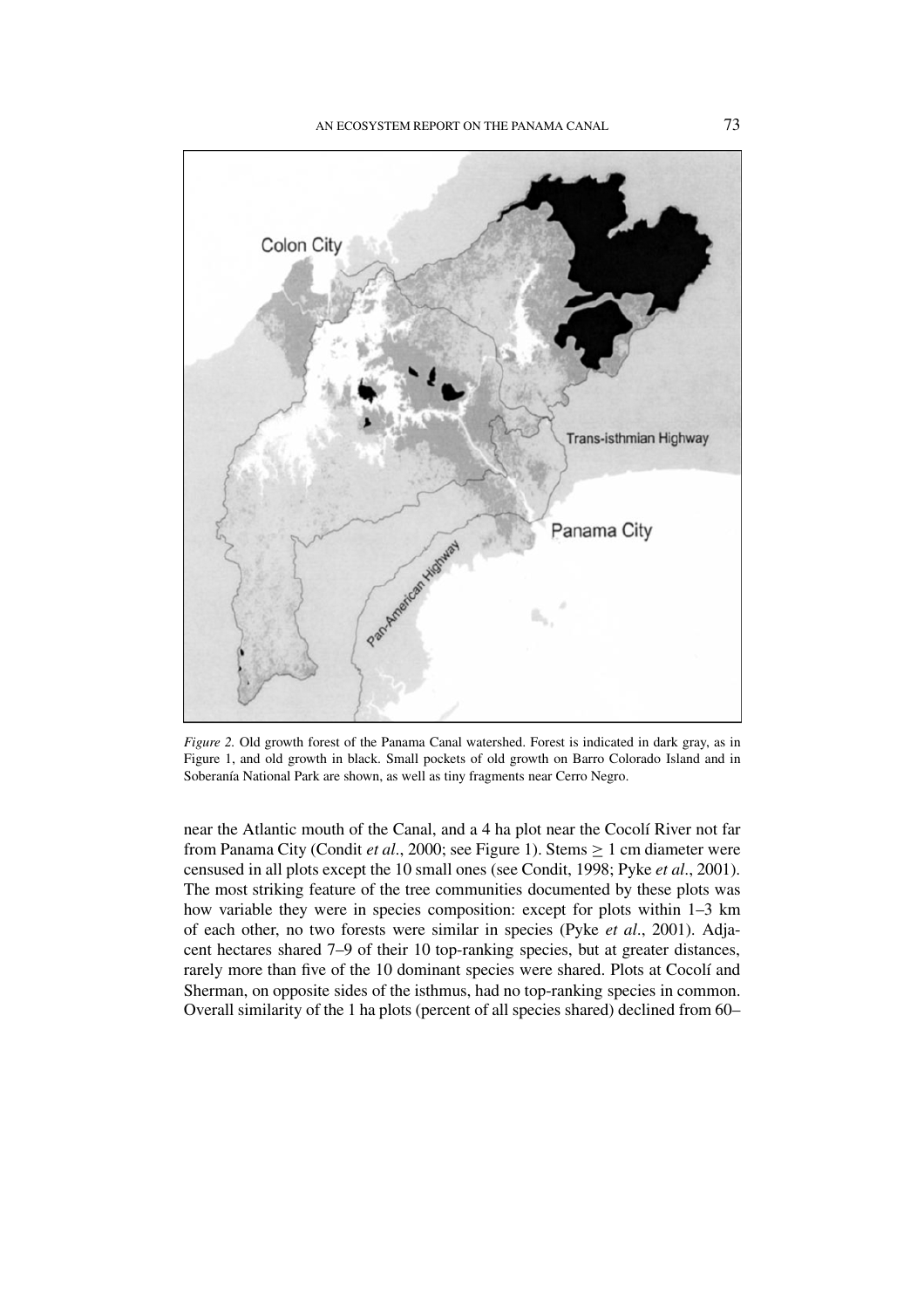

*Figure 2.* Old growth forest of the Panama Canal watershed. Forest is indicated in dark gray, as in Figure 1, and old growth in black. Small pockets of old growth on Barro Colorado Island and in Soberanía National Park are shown, as well as tiny fragments near Cerro Negro.

near the Atlantic mouth of the Canal, and a 4 ha plot near the Cocolí River not far from Panama City (Condit *et al*., 2000; see Figure 1). Stems ≥ 1 cm diameter were censused in all plots except the 10 small ones (see Condit, 1998; Pyke *et al*., 2001). The most striking feature of the tree communities documented by these plots was how variable they were in species composition: except for plots within 1–3 km of each other, no two forests were similar in species (Pyke *et al*., 2001). Adjacent hectares shared 7–9 of their 10 top-ranking species, but at greater distances, rarely more than five of the 10 dominant species were shared. Plots at Cocolí and Sherman, on opposite sides of the isthmus, had no top-ranking species in common. Overall similarity of the 1 ha plots (percent of all species shared) declined from 60–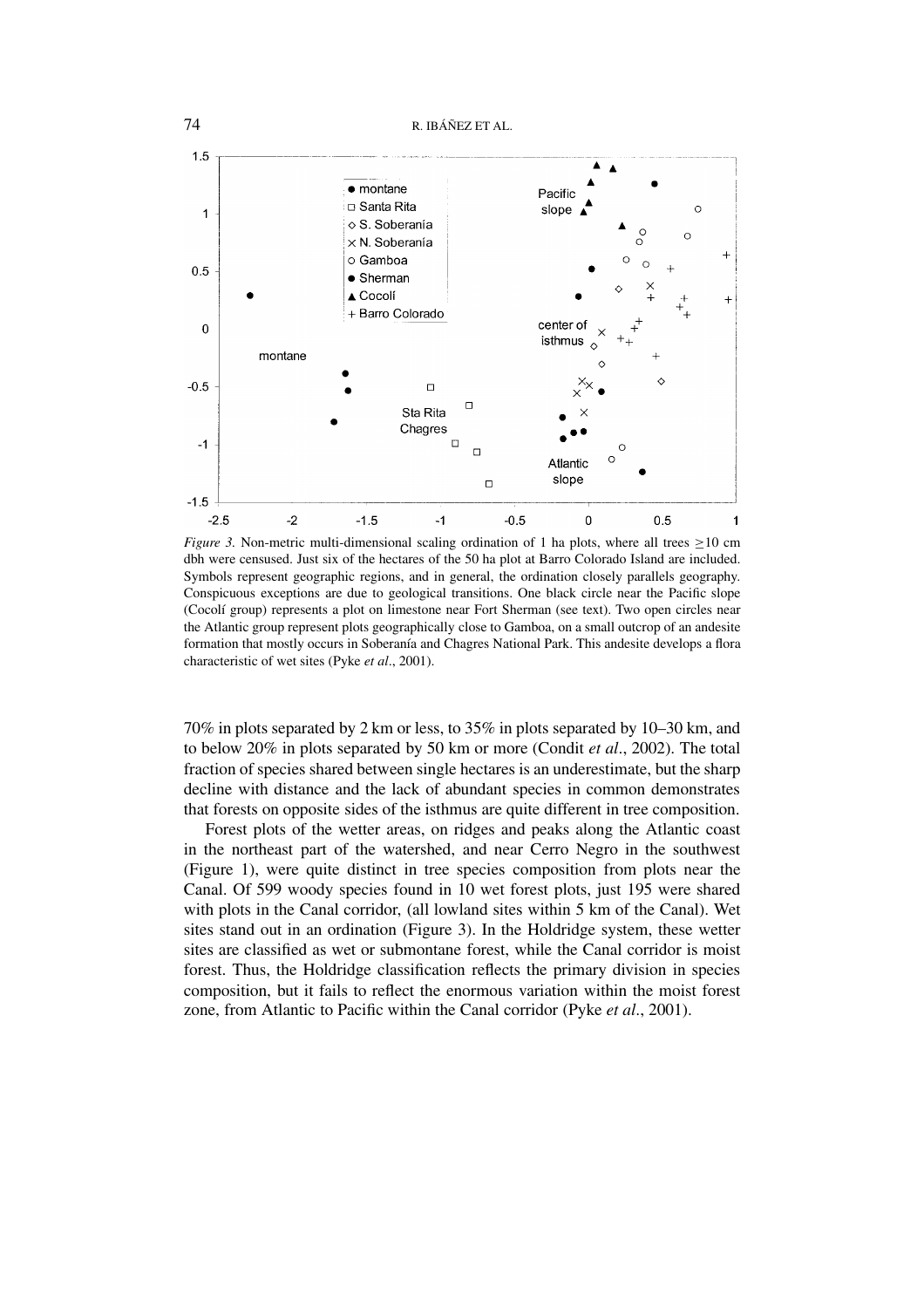

*Figure 3.* Non-metric multi-dimensional scaling ordination of 1 ha plots, where all trees  $\geq$ 10 cm dbh were censused. Just six of the hectares of the 50 ha plot at Barro Colorado Island are included. Symbols represent geographic regions, and in general, the ordination closely parallels geography. Conspicuous exceptions are due to geological transitions. One black circle near the Pacific slope (Cocolí group) represents a plot on limestone near Fort Sherman (see text). Two open circles near the Atlantic group represent plots geographically close to Gamboa, on a small outcrop of an andesite formation that mostly occurs in Soberanía and Chagres National Park. This andesite develops a flora characteristic of wet sites (Pyke *et al*., 2001).

70% in plots separated by 2 km or less, to 35% in plots separated by 10–30 km, and to below 20% in plots separated by 50 km or more (Condit *et al*., 2002). The total fraction of species shared between single hectares is an underestimate, but the sharp decline with distance and the lack of abundant species in common demonstrates that forests on opposite sides of the isthmus are quite different in tree composition.

Forest plots of the wetter areas, on ridges and peaks along the Atlantic coast in the northeast part of the watershed, and near Cerro Negro in the southwest (Figure 1), were quite distinct in tree species composition from plots near the Canal. Of 599 woody species found in 10 wet forest plots, just 195 were shared with plots in the Canal corridor, (all lowland sites within 5 km of the Canal). Wet sites stand out in an ordination (Figure 3). In the Holdridge system, these wetter sites are classified as wet or submontane forest, while the Canal corridor is moist forest. Thus, the Holdridge classification reflects the primary division in species composition, but it fails to reflect the enormous variation within the moist forest zone, from Atlantic to Pacific within the Canal corridor (Pyke *et al*., 2001).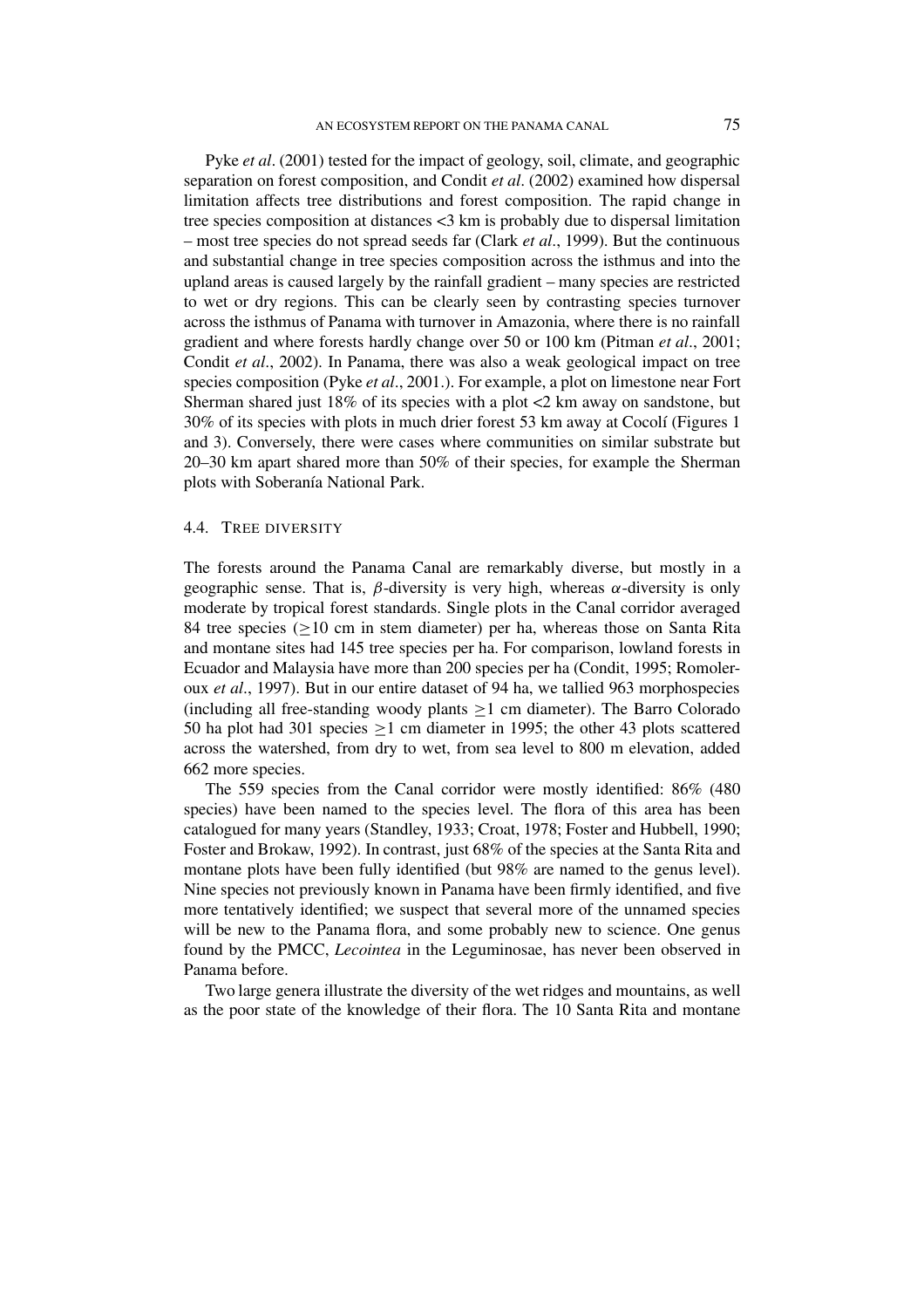Pyke *et al*. (2001) tested for the impact of geology, soil, climate, and geographic separation on forest composition, and Condit *et al*. (2002) examined how dispersal limitation affects tree distributions and forest composition. The rapid change in tree species composition at distances <3 km is probably due to dispersal limitation – most tree species do not spread seeds far (Clark *et al*., 1999). But the continuous and substantial change in tree species composition across the isthmus and into the upland areas is caused largely by the rainfall gradient – many species are restricted to wet or dry regions. This can be clearly seen by contrasting species turnover across the isthmus of Panama with turnover in Amazonia, where there is no rainfall gradient and where forests hardly change over 50 or 100 km (Pitman *et al*., 2001; Condit *et al*., 2002). In Panama, there was also a weak geological impact on tree species composition (Pyke *et al*., 2001.). For example, a plot on limestone near Fort Sherman shared just 18% of its species with a plot <2 km away on sandstone, but 30% of its species with plots in much drier forest 53 km away at Cocolí (Figures 1 and 3). Conversely, there were cases where communities on similar substrate but 20–30 km apart shared more than 50% of their species, for example the Sherman plots with Soberanía National Park.

#### 4.4. TREE DIVERSITY

The forests around the Panama Canal are remarkably diverse, but mostly in a geographic sense. That is, *β*-diversity is very high, whereas *α*-diversity is only moderate by tropical forest standards. Single plots in the Canal corridor averaged 84 tree species (>10 cm in stem diameter) per ha, whereas those on Santa Rita and montane sites had 145 tree species per ha. For comparison, lowland forests in Ecuador and Malaysia have more than 200 species per ha (Condit, 1995; Romoleroux *et al*., 1997). But in our entire dataset of 94 ha, we tallied 963 morphospecies (including all free-standing woody plants  $\geq 1$  cm diameter). The Barro Colorado 50 ha plot had 301 species >1 cm diameter in 1995; the other 43 plots scattered across the watershed, from dry to wet, from sea level to 800 m elevation, added 662 more species.

The 559 species from the Canal corridor were mostly identified: 86% (480 species) have been named to the species level. The flora of this area has been catalogued for many years (Standley, 1933; Croat, 1978; Foster and Hubbell, 1990; Foster and Brokaw, 1992). In contrast, just 68% of the species at the Santa Rita and montane plots have been fully identified (but 98% are named to the genus level). Nine species not previously known in Panama have been firmly identified, and five more tentatively identified; we suspect that several more of the unnamed species will be new to the Panama flora, and some probably new to science. One genus found by the PMCC, *Lecointea* in the Leguminosae, has never been observed in Panama before.

Two large genera illustrate the diversity of the wet ridges and mountains, as well as the poor state of the knowledge of their flora. The 10 Santa Rita and montane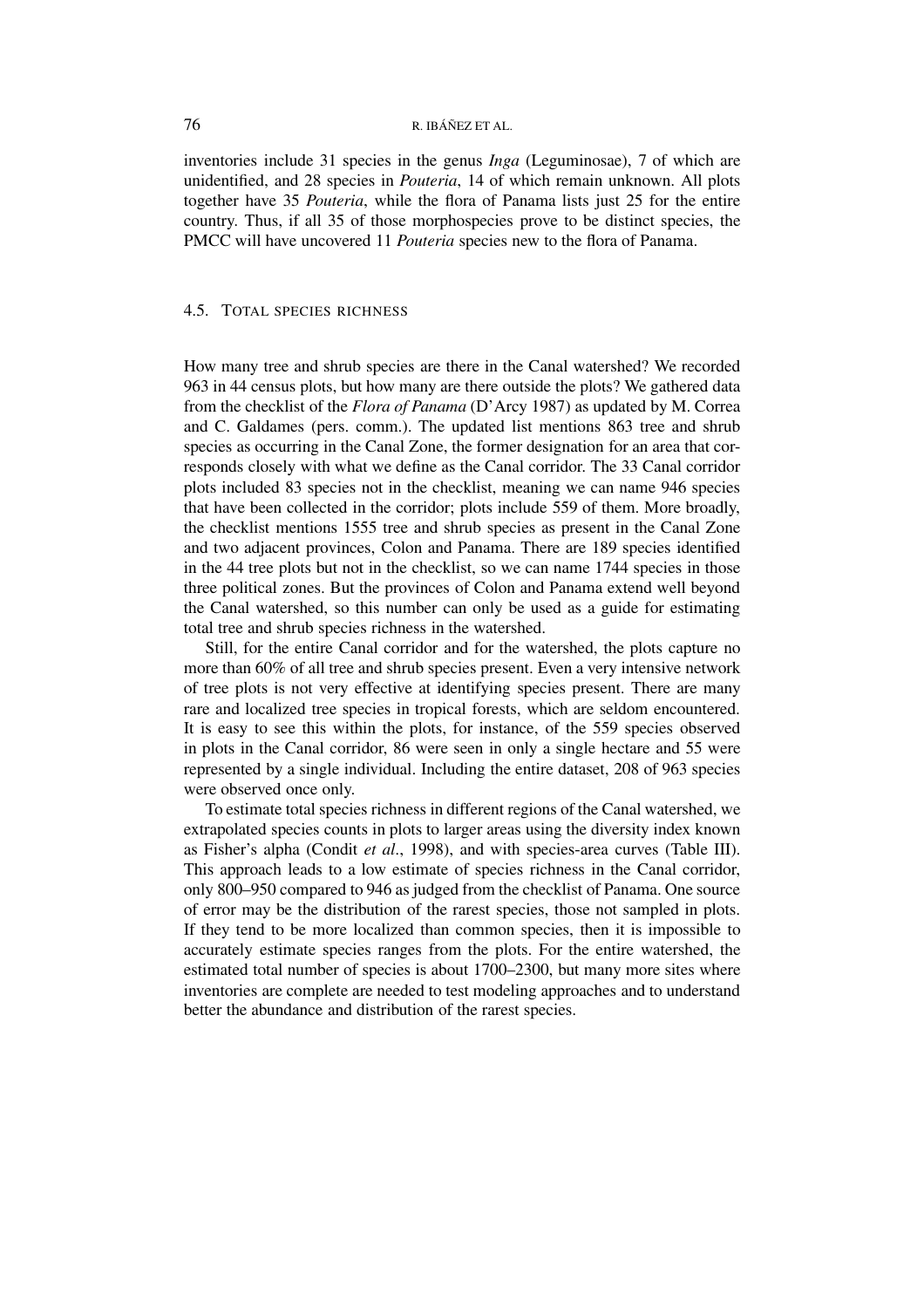# 76 R. IBAÑEZ ET AL. ´

inventories include 31 species in the genus *Inga* (Leguminosae), 7 of which are unidentified, and 28 species in *Pouteria*, 14 of which remain unknown. All plots together have 35 *Pouteria*, while the flora of Panama lists just 25 for the entire country. Thus, if all 35 of those morphospecies prove to be distinct species, the PMCC will have uncovered 11 *Pouteria* species new to the flora of Panama.

# 4.5. TOTAL SPECIES RICHNESS

How many tree and shrub species are there in the Canal watershed? We recorded 963 in 44 census plots, but how many are there outside the plots? We gathered data from the checklist of the *Flora of Panama* (D'Arcy 1987) as updated by M. Correa and C. Galdames (pers. comm.). The updated list mentions 863 tree and shrub species as occurring in the Canal Zone, the former designation for an area that corresponds closely with what we define as the Canal corridor. The 33 Canal corridor plots included 83 species not in the checklist, meaning we can name 946 species that have been collected in the corridor; plots include 559 of them. More broadly, the checklist mentions 1555 tree and shrub species as present in the Canal Zone and two adjacent provinces, Colon and Panama. There are 189 species identified in the 44 tree plots but not in the checklist, so we can name 1744 species in those three political zones. But the provinces of Colon and Panama extend well beyond the Canal watershed, so this number can only be used as a guide for estimating total tree and shrub species richness in the watershed.

Still, for the entire Canal corridor and for the watershed, the plots capture no more than 60% of all tree and shrub species present. Even a very intensive network of tree plots is not very effective at identifying species present. There are many rare and localized tree species in tropical forests, which are seldom encountered. It is easy to see this within the plots, for instance, of the 559 species observed in plots in the Canal corridor, 86 were seen in only a single hectare and 55 were represented by a single individual. Including the entire dataset, 208 of 963 species were observed once only.

To estimate total species richness in different regions of the Canal watershed, we extrapolated species counts in plots to larger areas using the diversity index known as Fisher's alpha (Condit *et al*., 1998), and with species-area curves (Table III). This approach leads to a low estimate of species richness in the Canal corridor, only 800–950 compared to 946 as judged from the checklist of Panama. One source of error may be the distribution of the rarest species, those not sampled in plots. If they tend to be more localized than common species, then it is impossible to accurately estimate species ranges from the plots. For the entire watershed, the estimated total number of species is about 1700–2300, but many more sites where inventories are complete are needed to test modeling approaches and to understand better the abundance and distribution of the rarest species.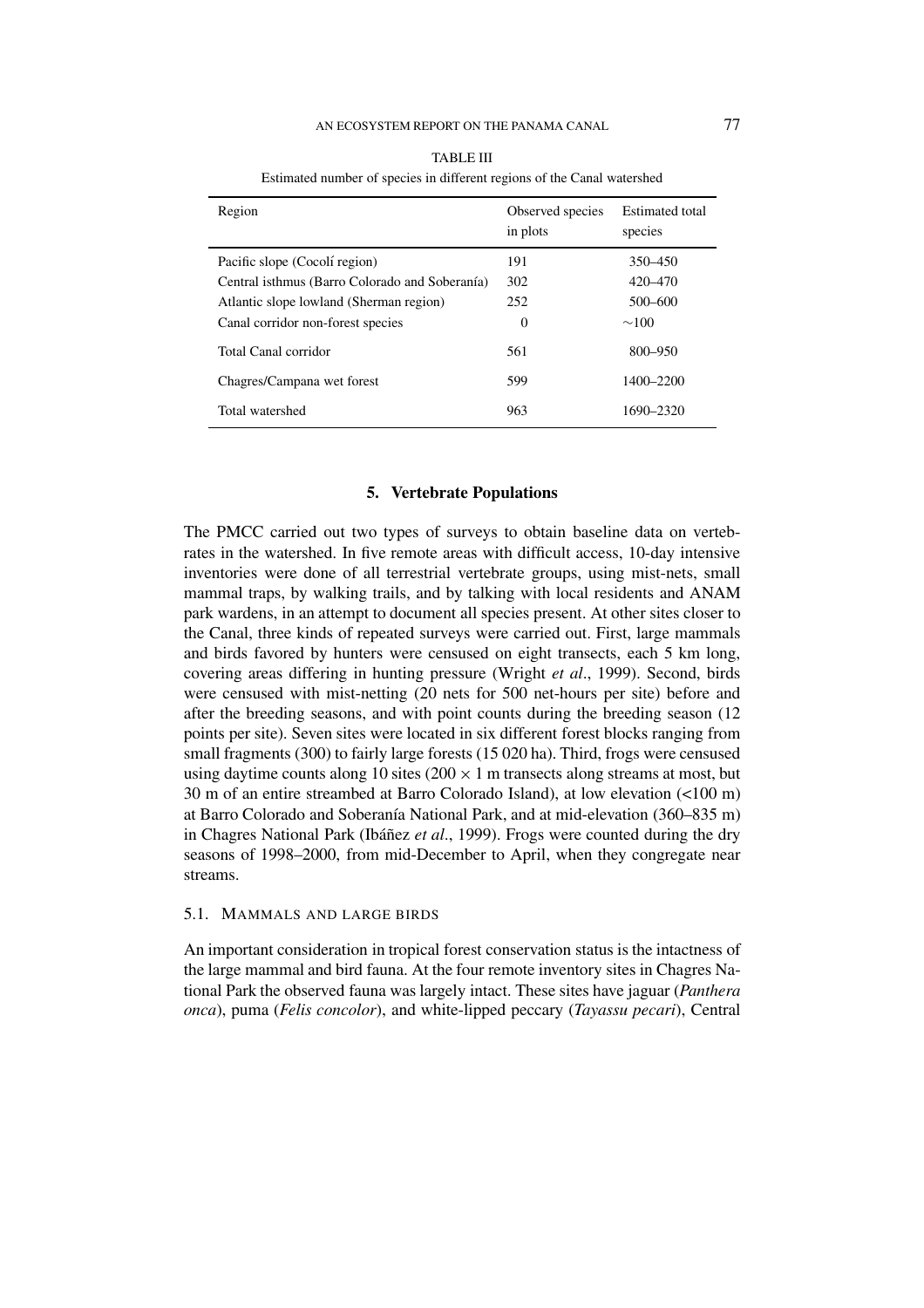| Region                                         | Observed species<br>in plots | <b>Estimated total</b><br>species |
|------------------------------------------------|------------------------------|-----------------------------------|
| Pacific slope (Cocolí region)                  | 191                          | 350-450                           |
| Central isthmus (Barro Colorado and Soberanía) | 302                          | 420-470                           |
| Atlantic slope lowland (Sherman region)        | 252                          | $500 - 600$                       |
| Canal corridor non-forest species              | $\overline{0}$               | $\sim$ 100                        |
| Total Canal corridor                           | 561                          | 800-950                           |
| Chagres/Campana wet forest                     | 599                          | 1400-2200                         |
| Total watershed                                | 963                          | 1690-2320                         |

#### TABLE III

Estimated number of species in different regions of the Canal watershed

# **5. Vertebrate Populations**

The PMCC carried out two types of surveys to obtain baseline data on vertebrates in the watershed. In five remote areas with difficult access, 10-day intensive inventories were done of all terrestrial vertebrate groups, using mist-nets, small mammal traps, by walking trails, and by talking with local residents and ANAM park wardens, in an attempt to document all species present. At other sites closer to the Canal, three kinds of repeated surveys were carried out. First, large mammals and birds favored by hunters were censused on eight transects, each 5 km long, covering areas differing in hunting pressure (Wright *et al*., 1999). Second, birds were censused with mist-netting (20 nets for 500 net-hours per site) before and after the breeding seasons, and with point counts during the breeding season (12 points per site). Seven sites were located in six different forest blocks ranging from small fragments (300) to fairly large forests (15 020 ha). Third, frogs were censused using daytime counts along 10 sites  $(200 \times 1 \text{ m}$  transects along streams at most, but 30 m of an entire streambed at Barro Colorado Island), at low elevation (<100 m) at Barro Colorado and Soberanía National Park, and at mid-elevation (360–835 m) in Chagres National Park (Ibáñez *et al*., 1999). Frogs were counted during the dry seasons of 1998–2000, from mid-December to April, when they congregate near streams.

# 5.1. MAMMALS AND LARGE BIRDS

An important consideration in tropical forest conservation status is the intactness of the large mammal and bird fauna. At the four remote inventory sites in Chagres National Park the observed fauna was largely intact. These sites have jaguar (*Panthera onca*), puma (*Felis concolor*), and white-lipped peccary (*Tayassu pecari*), Central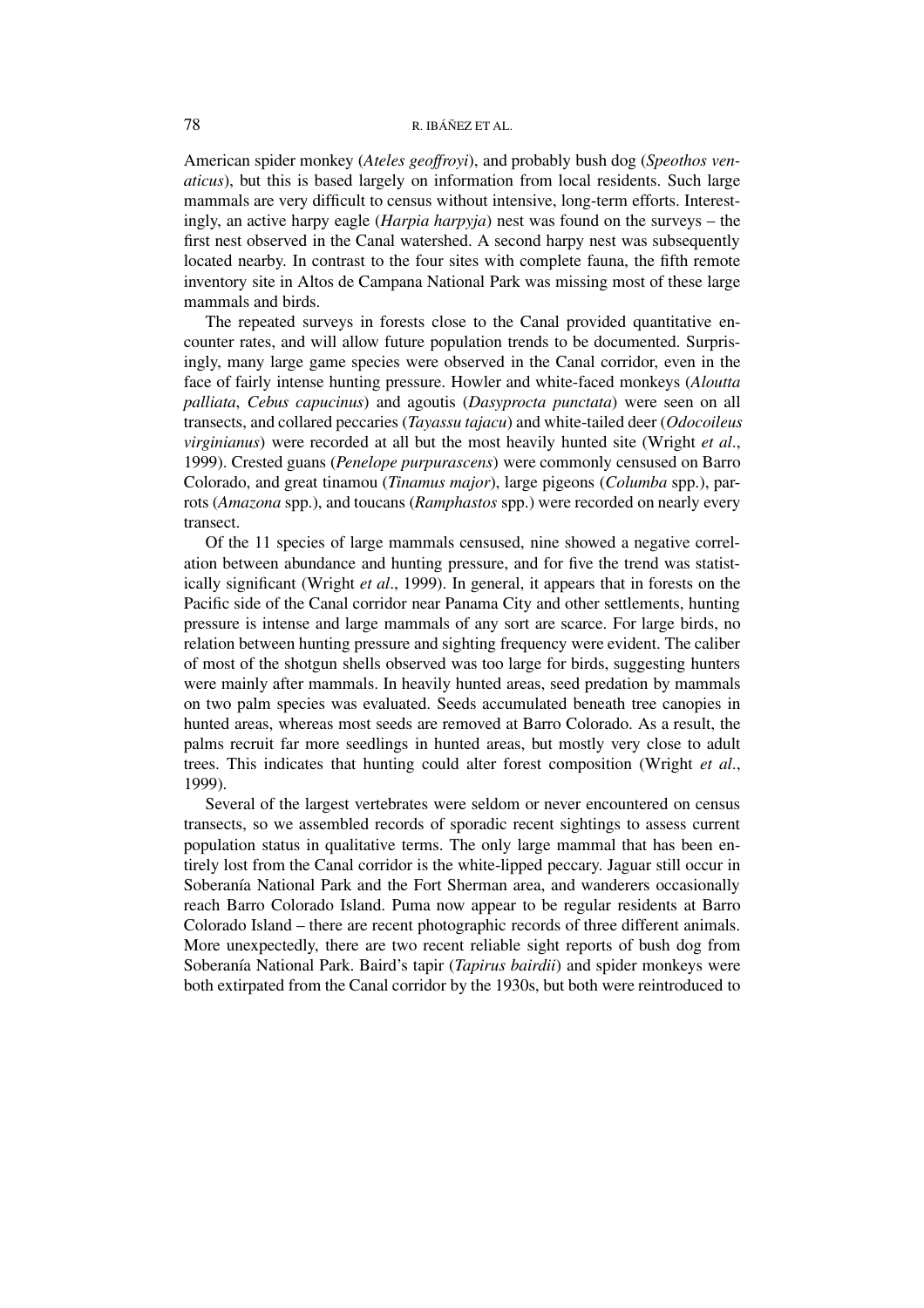American spider monkey (*Ateles geoffroyi*), and probably bush dog (*Speothos venaticus*), but this is based largely on information from local residents. Such large mammals are very difficult to census without intensive, long-term efforts. Interestingly, an active harpy eagle (*Harpia harpyja*) nest was found on the surveys – the first nest observed in the Canal watershed. A second harpy nest was subsequently located nearby. In contrast to the four sites with complete fauna, the fifth remote inventory site in Altos de Campana National Park was missing most of these large mammals and birds.

The repeated surveys in forests close to the Canal provided quantitative encounter rates, and will allow future population trends to be documented. Surprisingly, many large game species were observed in the Canal corridor, even in the face of fairly intense hunting pressure. Howler and white-faced monkeys (*Aloutta palliata*, *Cebus capucinus*) and agoutis (*Dasyprocta punctata*) were seen on all transects, and collared peccaries (*Tayassu tajacu*) and white-tailed deer (*Odocoileus virginianus*) were recorded at all but the most heavily hunted site (Wright *et al*., 1999). Crested guans (*Penelope purpurascens*) were commonly censused on Barro Colorado, and great tinamou (*Tinamus major*), large pigeons (*Columba* spp.), parrots (*Amazona* spp.), and toucans (*Ramphastos* spp.) were recorded on nearly every transect.

Of the 11 species of large mammals censused, nine showed a negative correlation between abundance and hunting pressure, and for five the trend was statistically significant (Wright *et al*., 1999). In general, it appears that in forests on the Pacific side of the Canal corridor near Panama City and other settlements, hunting pressure is intense and large mammals of any sort are scarce. For large birds, no relation between hunting pressure and sighting frequency were evident. The caliber of most of the shotgun shells observed was too large for birds, suggesting hunters were mainly after mammals. In heavily hunted areas, seed predation by mammals on two palm species was evaluated. Seeds accumulated beneath tree canopies in hunted areas, whereas most seeds are removed at Barro Colorado. As a result, the palms recruit far more seedlings in hunted areas, but mostly very close to adult trees. This indicates that hunting could alter forest composition (Wright *et al*., 1999).

Several of the largest vertebrates were seldom or never encountered on census transects, so we assembled records of sporadic recent sightings to assess current population status in qualitative terms. The only large mammal that has been entirely lost from the Canal corridor is the white-lipped peccary. Jaguar still occur in Soberanía National Park and the Fort Sherman area, and wanderers occasionally reach Barro Colorado Island. Puma now appear to be regular residents at Barro Colorado Island – there are recent photographic records of three different animals. More unexpectedly, there are two recent reliable sight reports of bush dog from Soberanía National Park. Baird's tapir (*Tapirus bairdii*) and spider monkeys were both extirpated from the Canal corridor by the 1930s, but both were reintroduced to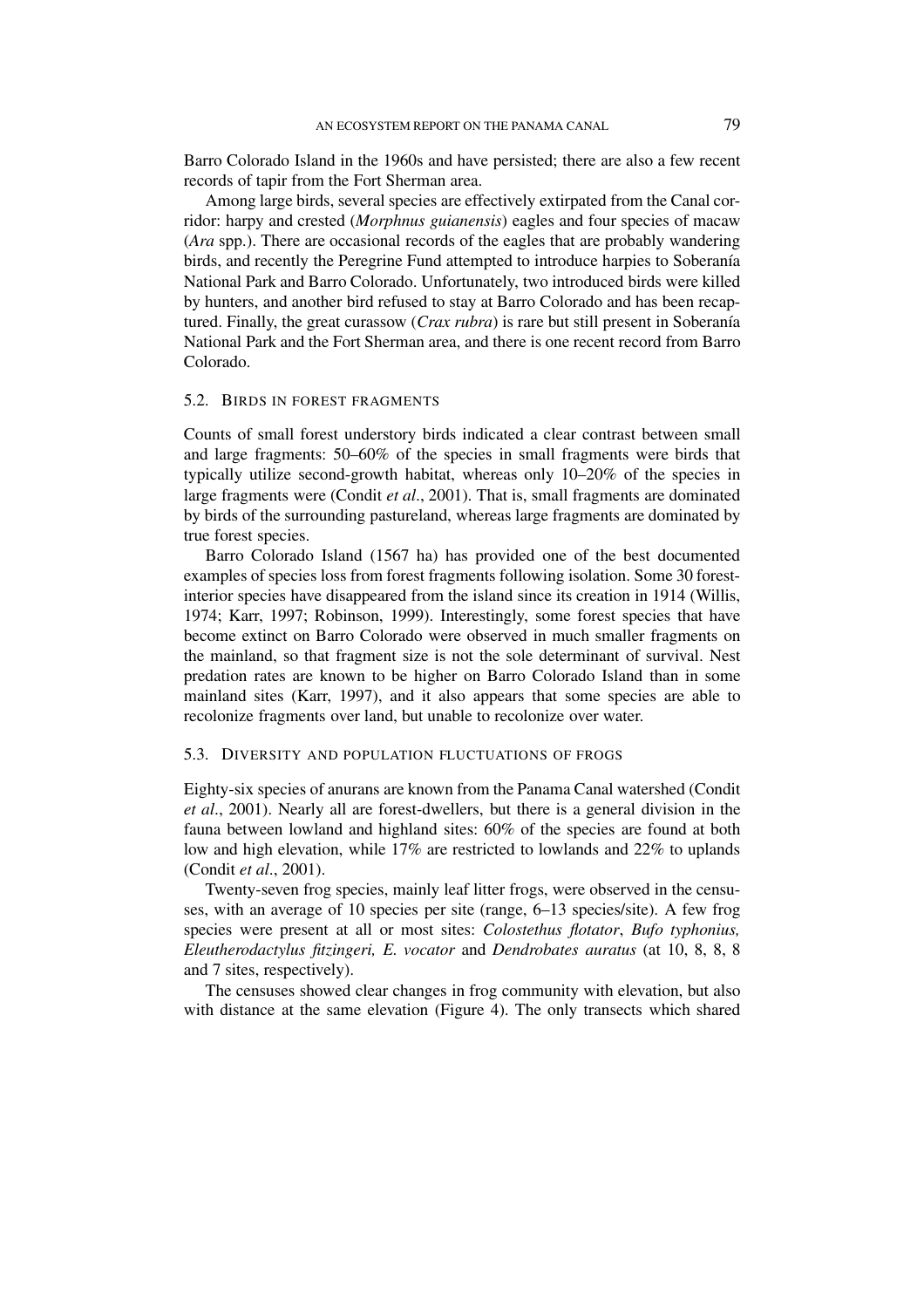Barro Colorado Island in the 1960s and have persisted; there are also a few recent records of tapir from the Fort Sherman area.

Among large birds, several species are effectively extirpated from the Canal corridor: harpy and crested (*Morphnus guianensis*) eagles and four species of macaw (*Ara* spp.). There are occasional records of the eagles that are probably wandering birds, and recently the Peregrine Fund attempted to introduce harpies to Soberanía National Park and Barro Colorado. Unfortunately, two introduced birds were killed by hunters, and another bird refused to stay at Barro Colorado and has been recaptured. Finally, the great curassow (*Crax rubra*) is rare but still present in Soberanía National Park and the Fort Sherman area, and there is one recent record from Barro Colorado.

### 5.2. BIRDS IN FOREST FRAGMENTS

Counts of small forest understory birds indicated a clear contrast between small and large fragments: 50–60% of the species in small fragments were birds that typically utilize second-growth habitat, whereas only 10–20% of the species in large fragments were (Condit *et al*., 2001). That is, small fragments are dominated by birds of the surrounding pastureland, whereas large fragments are dominated by true forest species.

Barro Colorado Island (1567 ha) has provided one of the best documented examples of species loss from forest fragments following isolation. Some 30 forestinterior species have disappeared from the island since its creation in 1914 (Willis, 1974; Karr, 1997; Robinson, 1999). Interestingly, some forest species that have become extinct on Barro Colorado were observed in much smaller fragments on the mainland, so that fragment size is not the sole determinant of survival. Nest predation rates are known to be higher on Barro Colorado Island than in some mainland sites (Karr, 1997), and it also appears that some species are able to recolonize fragments over land, but unable to recolonize over water.

#### 5.3. DIVERSITY AND POPULATION FLUCTUATIONS OF FROGS

Eighty-six species of anurans are known from the Panama Canal watershed (Condit *et al*., 2001). Nearly all are forest-dwellers, but there is a general division in the fauna between lowland and highland sites: 60% of the species are found at both low and high elevation, while 17% are restricted to lowlands and 22% to uplands (Condit *et al*., 2001).

Twenty-seven frog species, mainly leaf litter frogs, were observed in the censuses, with an average of 10 species per site (range, 6–13 species/site). A few frog species were present at all or most sites: *Colostethus flotator*, *Bufo typhonius, Eleutherodactylus fitzingeri, E. vocator* and *Dendrobates auratus* (at 10, 8, 8, 8 and 7 sites, respectively).

The censuses showed clear changes in frog community with elevation, but also with distance at the same elevation (Figure 4). The only transects which shared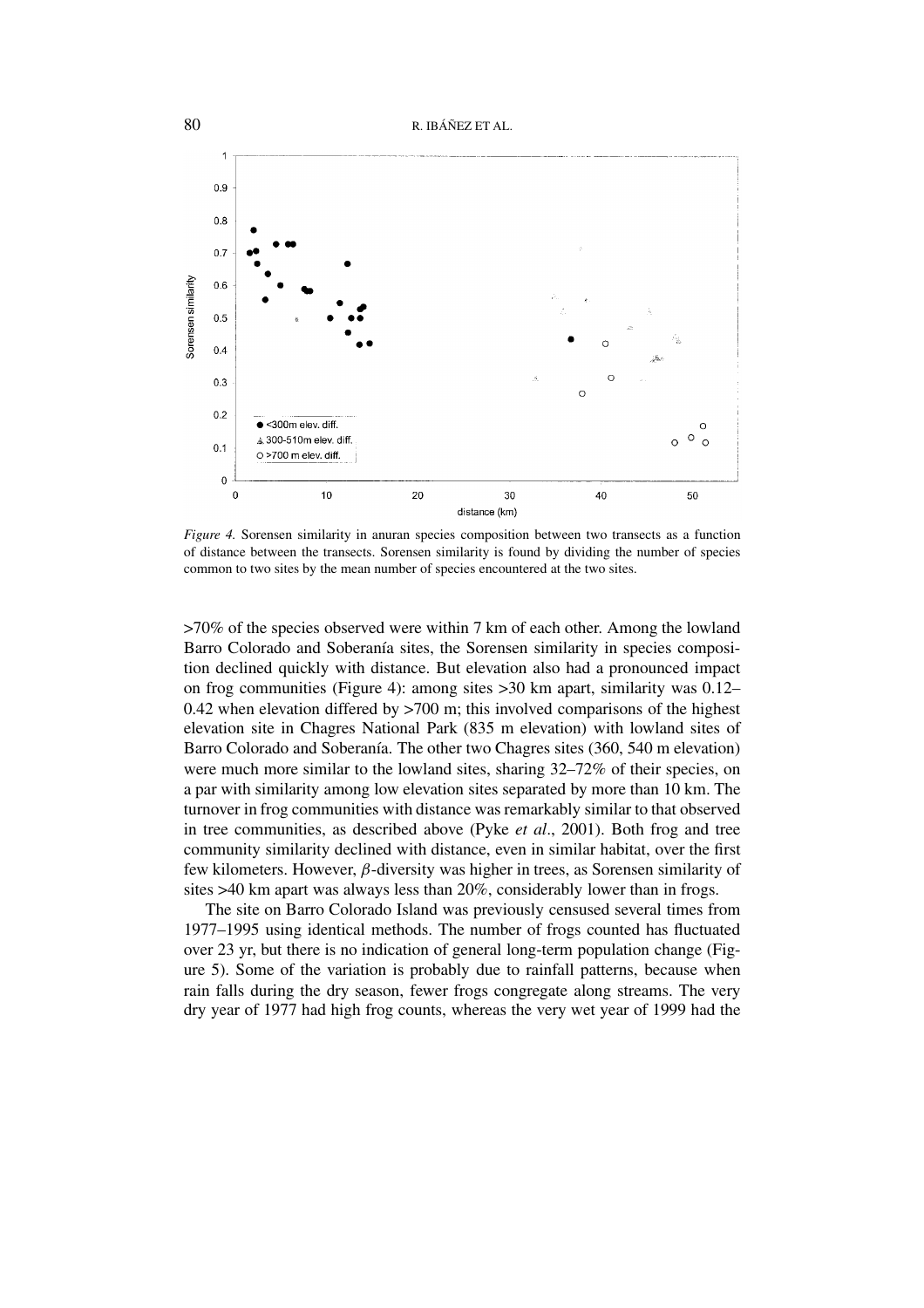

*Figure 4.* Sorensen similarity in anuran species composition between two transects as a function of distance between the transects. Sorensen similarity is found by dividing the number of species common to two sites by the mean number of species encountered at the two sites.

>70% of the species observed were within 7 km of each other. Among the lowland Barro Colorado and Soberanía sites, the Sorensen similarity in species composition declined quickly with distance. But elevation also had a pronounced impact on frog communities (Figure 4): among sites >30 km apart, similarity was 0.12– 0.42 when elevation differed by  $>700$  m; this involved comparisons of the highest elevation site in Chagres National Park (835 m elevation) with lowland sites of Barro Colorado and Soberanía. The other two Chagres sites (360, 540 m elevation) were much more similar to the lowland sites, sharing 32–72% of their species, on a par with similarity among low elevation sites separated by more than 10 km. The turnover in frog communities with distance was remarkably similar to that observed in tree communities, as described above (Pyke *et al*., 2001). Both frog and tree community similarity declined with distance, even in similar habitat, over the first few kilometers. However, *β*-diversity was higher in trees, as Sorensen similarity of sites >40 km apart was always less than 20%, considerably lower than in frogs.

The site on Barro Colorado Island was previously censused several times from 1977–1995 using identical methods. The number of frogs counted has fluctuated over 23 yr, but there is no indication of general long-term population change (Figure 5). Some of the variation is probably due to rainfall patterns, because when rain falls during the dry season, fewer frogs congregate along streams. The very dry year of 1977 had high frog counts, whereas the very wet year of 1999 had the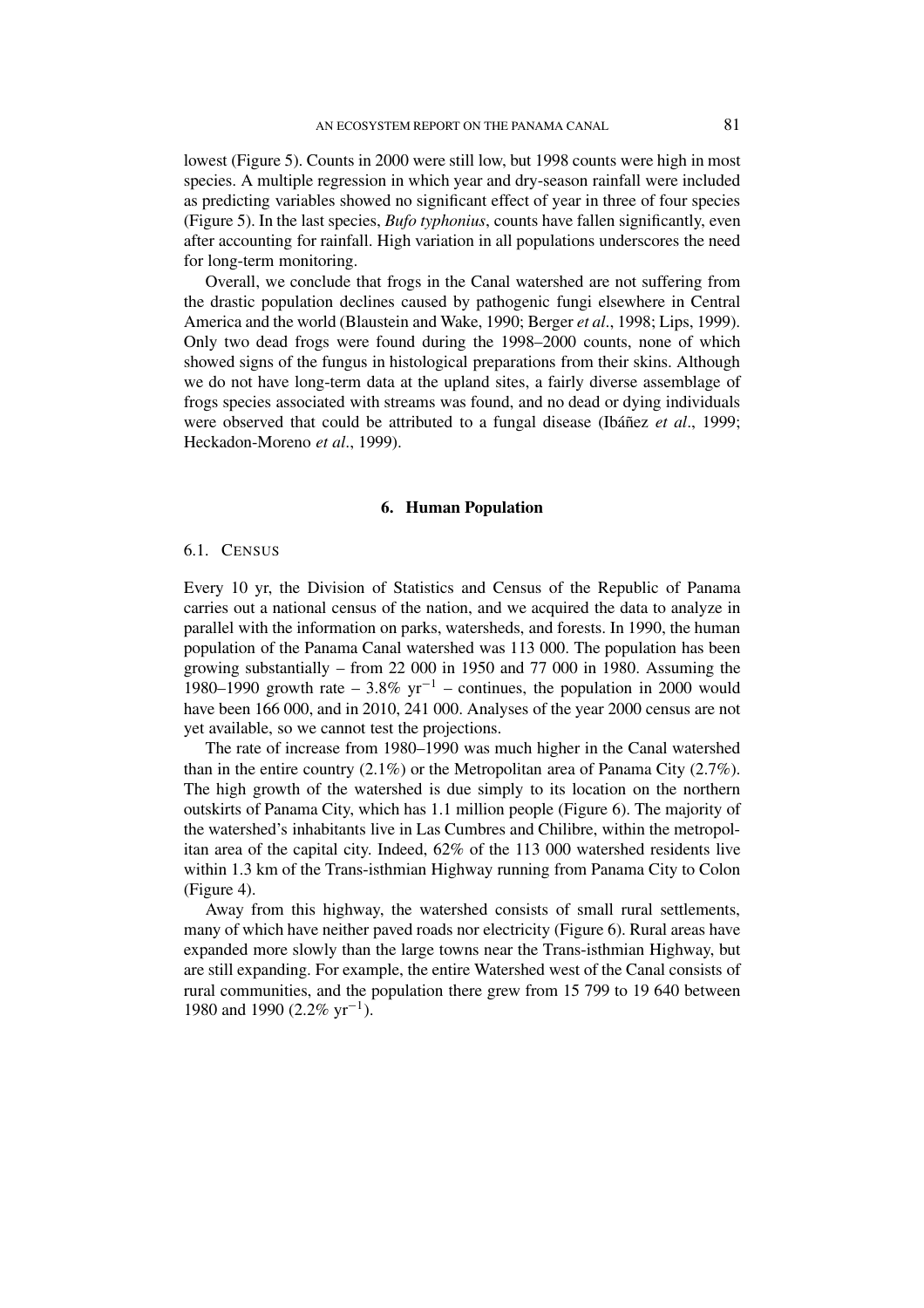lowest (Figure 5). Counts in 2000 were still low, but 1998 counts were high in most species. A multiple regression in which year and dry-season rainfall were included as predicting variables showed no significant effect of year in three of four species (Figure 5). In the last species, *Bufo typhonius*, counts have fallen significantly, even after accounting for rainfall. High variation in all populations underscores the need for long-term monitoring.

Overall, we conclude that frogs in the Canal watershed are not suffering from the drastic population declines caused by pathogenic fungi elsewhere in Central America and the world (Blaustein and Wake, 1990; Berger *et al*., 1998; Lips, 1999). Only two dead frogs were found during the 1998–2000 counts, none of which showed signs of the fungus in histological preparations from their skins. Although we do not have long-term data at the upland sites, a fairly diverse assemblage of frogs species associated with streams was found, and no dead or dying individuals were observed that could be attributed to a fungal disease (Ibáñez *et al*., 1999; Heckadon-Moreno *et al*., 1999).

## **6. Human Population**

#### 6.1. CENSUS

Every 10 yr, the Division of Statistics and Census of the Republic of Panama carries out a national census of the nation, and we acquired the data to analyze in parallel with the information on parks, watersheds, and forests. In 1990, the human population of the Panama Canal watershed was 113 000. The population has been growing substantially – from 22 000 in 1950 and 77 000 in 1980. Assuming the 1980–1990 growth rate – 3.8%  $yr^{-1}$  – continues, the population in 2000 would have been 166 000, and in 2010, 241 000. Analyses of the year 2000 census are not yet available, so we cannot test the projections.

The rate of increase from 1980–1990 was much higher in the Canal watershed than in the entire country (2.1%) or the Metropolitan area of Panama City (2.7%). The high growth of the watershed is due simply to its location on the northern outskirts of Panama City, which has 1.1 million people (Figure 6). The majority of the watershed's inhabitants live in Las Cumbres and Chilibre, within the metropolitan area of the capital city. Indeed, 62% of the 113 000 watershed residents live within 1.3 km of the Trans-isthmian Highway running from Panama City to Colon (Figure 4).

Away from this highway, the watershed consists of small rural settlements, many of which have neither paved roads nor electricity (Figure 6). Rural areas have expanded more slowly than the large towns near the Trans-isthmian Highway, but are still expanding. For example, the entire Watershed west of the Canal consists of rural communities, and the population there grew from 15 799 to 19 640 between 1980 and 1990 (2.2%  $yr^{-1}$ ).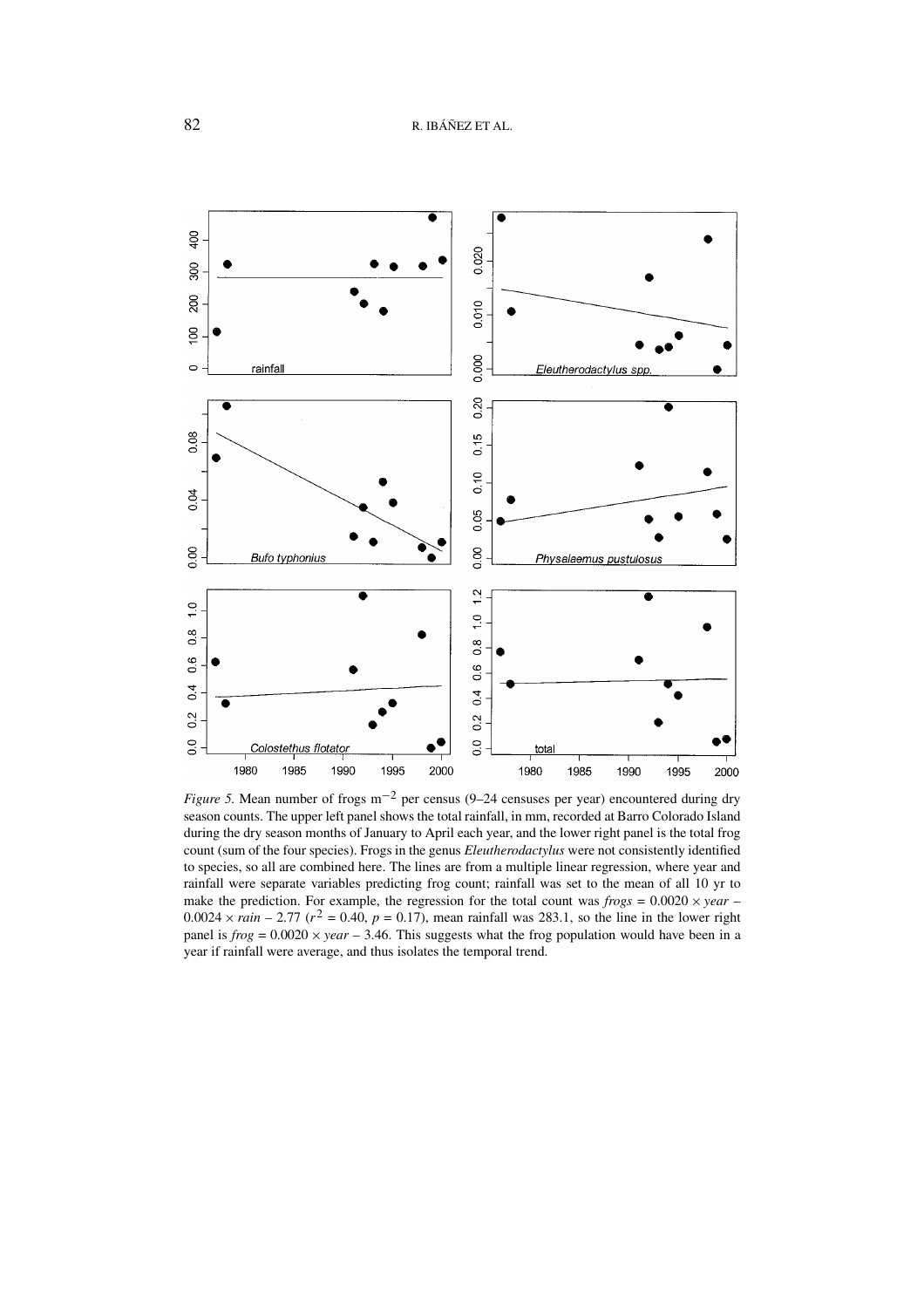

*Figure 5.* Mean number of frogs m<sup>-2</sup> per census (9–24 censuses per year) encountered during dry season counts. The upper left panel shows the total rainfall, in mm, recorded at Barro Colorado Island during the dry season months of January to April each year, and the lower right panel is the total frog count (sum of the four species). Frogs in the genus *Eleutherodactylus* were not consistently identified to species, so all are combined here. The lines are from a multiple linear regression, where year and rainfall were separate variables predicting frog count; rainfall was set to the mean of all 10 yr to make the prediction. For example, the regression for the total count was  $frogs = 0.0020 \times year$ 0.0024  $\times$  *rain* – 2.77 ( $r^2$  = 0.40,  $p$  = 0.17), mean rainfall was 283.1, so the line in the lower right panel is  $frog = 0.0020 \times year - 3.46$ . This suggests what the frog population would have been in a year if rainfall were average, and thus isolates the temporal trend.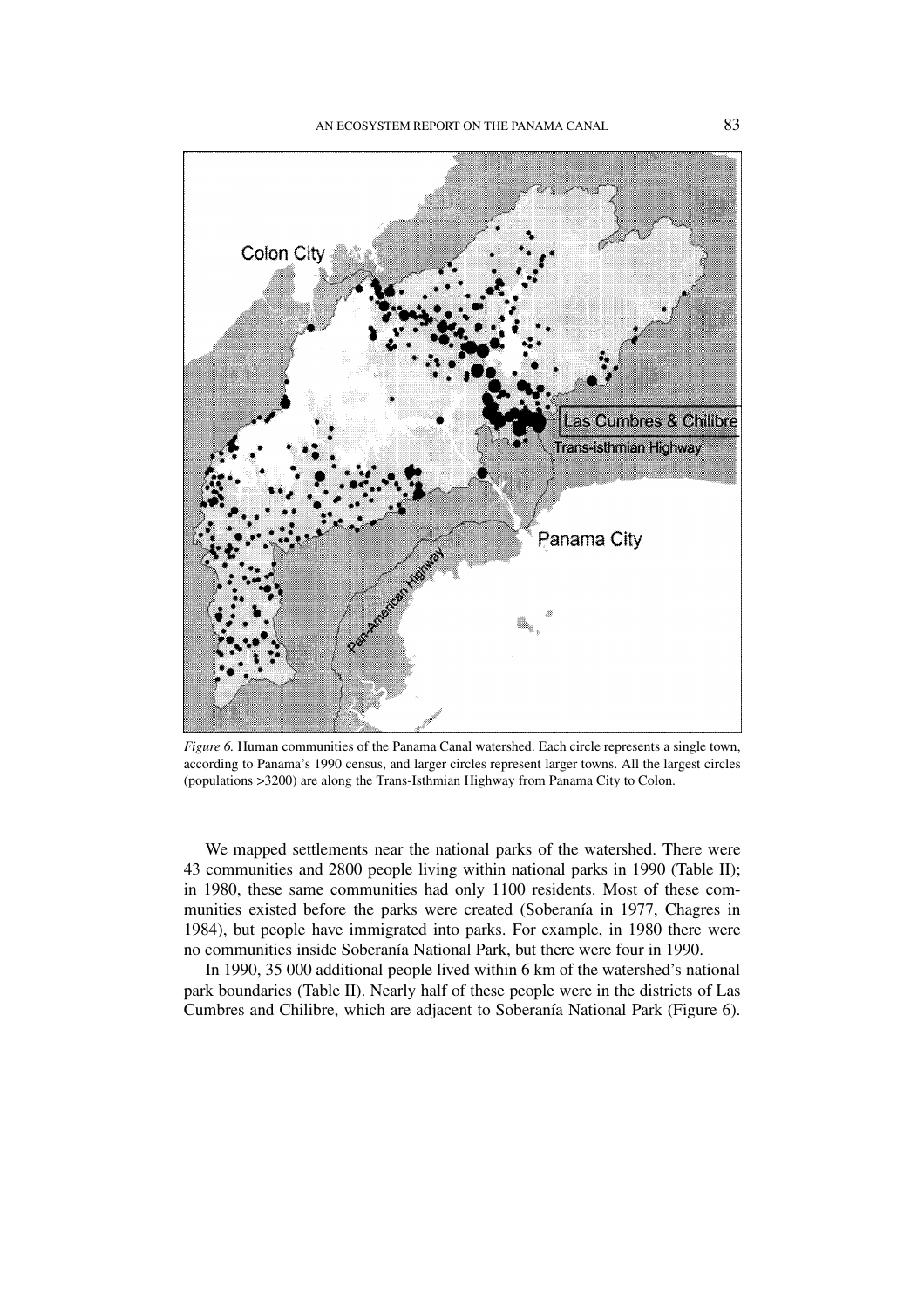

*Figure 6.* Human communities of the Panama Canal watershed. Each circle represents a single town, according to Panama's 1990 census, and larger circles represent larger towns. All the largest circles (populations >3200) are along the Trans-Isthmian Highway from Panama City to Colon.

We mapped settlements near the national parks of the watershed. There were 43 communities and 2800 people living within national parks in 1990 (Table II); in 1980, these same communities had only 1100 residents. Most of these communities existed before the parks were created (Soberanía in 1977, Chagres in 1984), but people have immigrated into parks. For example, in 1980 there were no communities inside Soberanía National Park, but there were four in 1990.

In 1990, 35 000 additional people lived within 6 km of the watershed's national park boundaries (Table II). Nearly half of these people were in the districts of Las Cumbres and Chilibre, which are adjacent to Soberanía National Park (Figure 6).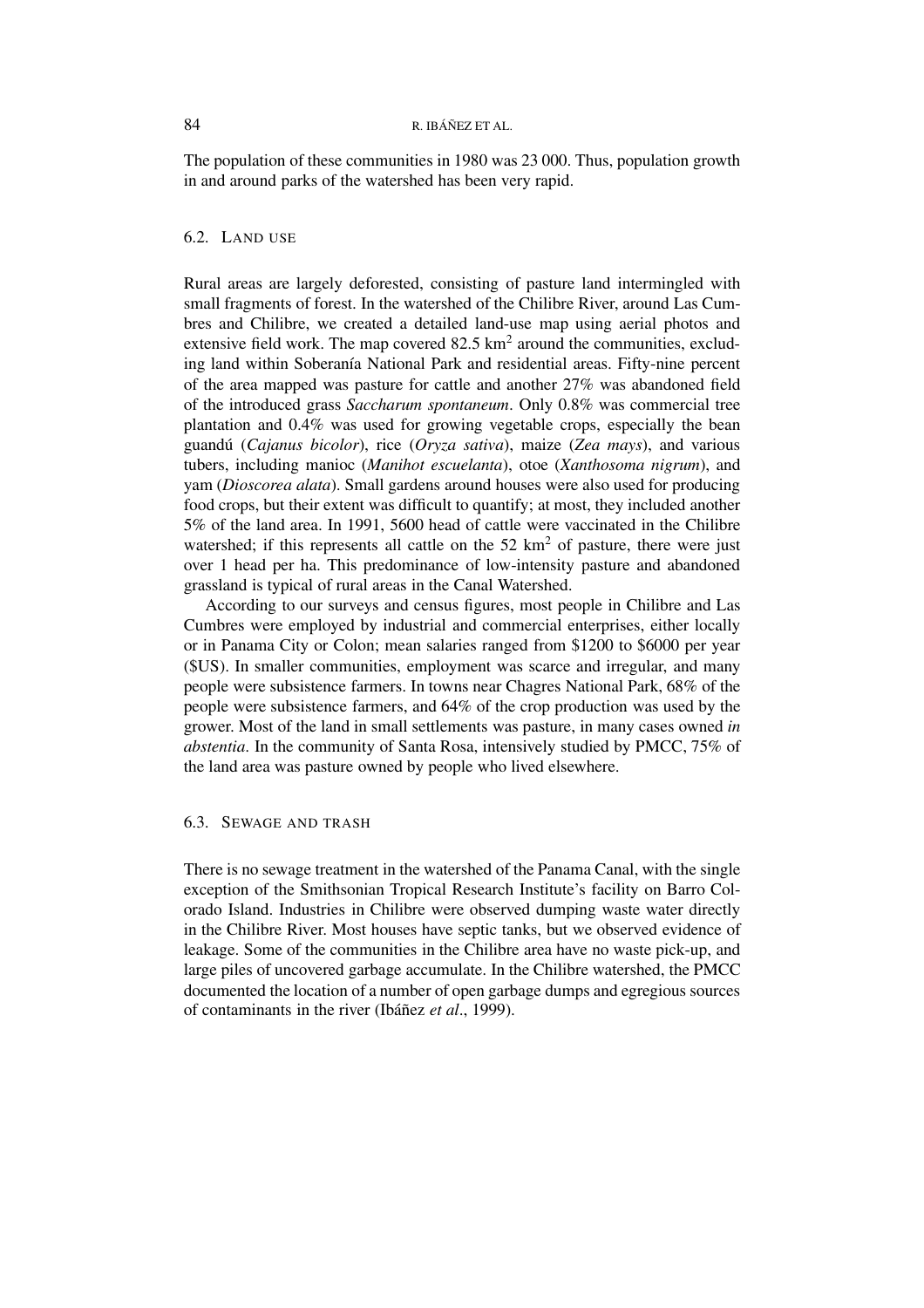# 84 R. IBÁÑEZ ET AL.

The population of these communities in 1980 was 23 000. Thus, population growth in and around parks of the watershed has been very rapid.

### 6.2. LAND USE

Rural areas are largely deforested, consisting of pasture land intermingled with small fragments of forest. In the watershed of the Chilibre River, around Las Cumbres and Chilibre, we created a detailed land-use map using aerial photos and extensive field work. The map covered  $82.5 \text{ km}^2$  around the communities, excluding land within Soberanía National Park and residential areas. Fifty-nine percent of the area mapped was pasture for cattle and another 27% was abandoned field of the introduced grass *Saccharum spontaneum*. Only 0.8% was commercial tree plantation and 0.4% was used for growing vegetable crops, especially the bean guandú (*Cajanus bicolor*), rice (*Oryza sativa*), maize (*Zea mays*), and various tubers, including manioc (*Manihot escuelanta*), otoe (*Xanthosoma nigrum*), and yam (*Dioscorea alata*). Small gardens around houses were also used for producing food crops, but their extent was difficult to quantify; at most, they included another 5% of the land area. In 1991, 5600 head of cattle were vaccinated in the Chilibre watershed; if this represents all cattle on the  $52 \text{ km}^2$  of pasture, there were just over 1 head per ha. This predominance of low-intensity pasture and abandoned grassland is typical of rural areas in the Canal Watershed.

According to our surveys and census figures, most people in Chilibre and Las Cumbres were employed by industrial and commercial enterprises, either locally or in Panama City or Colon; mean salaries ranged from \$1200 to \$6000 per year (\$US). In smaller communities, employment was scarce and irregular, and many people were subsistence farmers. In towns near Chagres National Park, 68% of the people were subsistence farmers, and 64% of the crop production was used by the grower. Most of the land in small settlements was pasture, in many cases owned *in abstentia*. In the community of Santa Rosa, intensively studied by PMCC, 75% of the land area was pasture owned by people who lived elsewhere.

### 6.3. SEWAGE AND TRASH

There is no sewage treatment in the watershed of the Panama Canal, with the single exception of the Smithsonian Tropical Research Institute's facility on Barro Colorado Island. Industries in Chilibre were observed dumping waste water directly in the Chilibre River. Most houses have septic tanks, but we observed evidence of leakage. Some of the communities in the Chilibre area have no waste pick-up, and large piles of uncovered garbage accumulate. In the Chilibre watershed, the PMCC documented the location of a number of open garbage dumps and egregious sources of contaminants in the river (Ibáñez *et al*., 1999).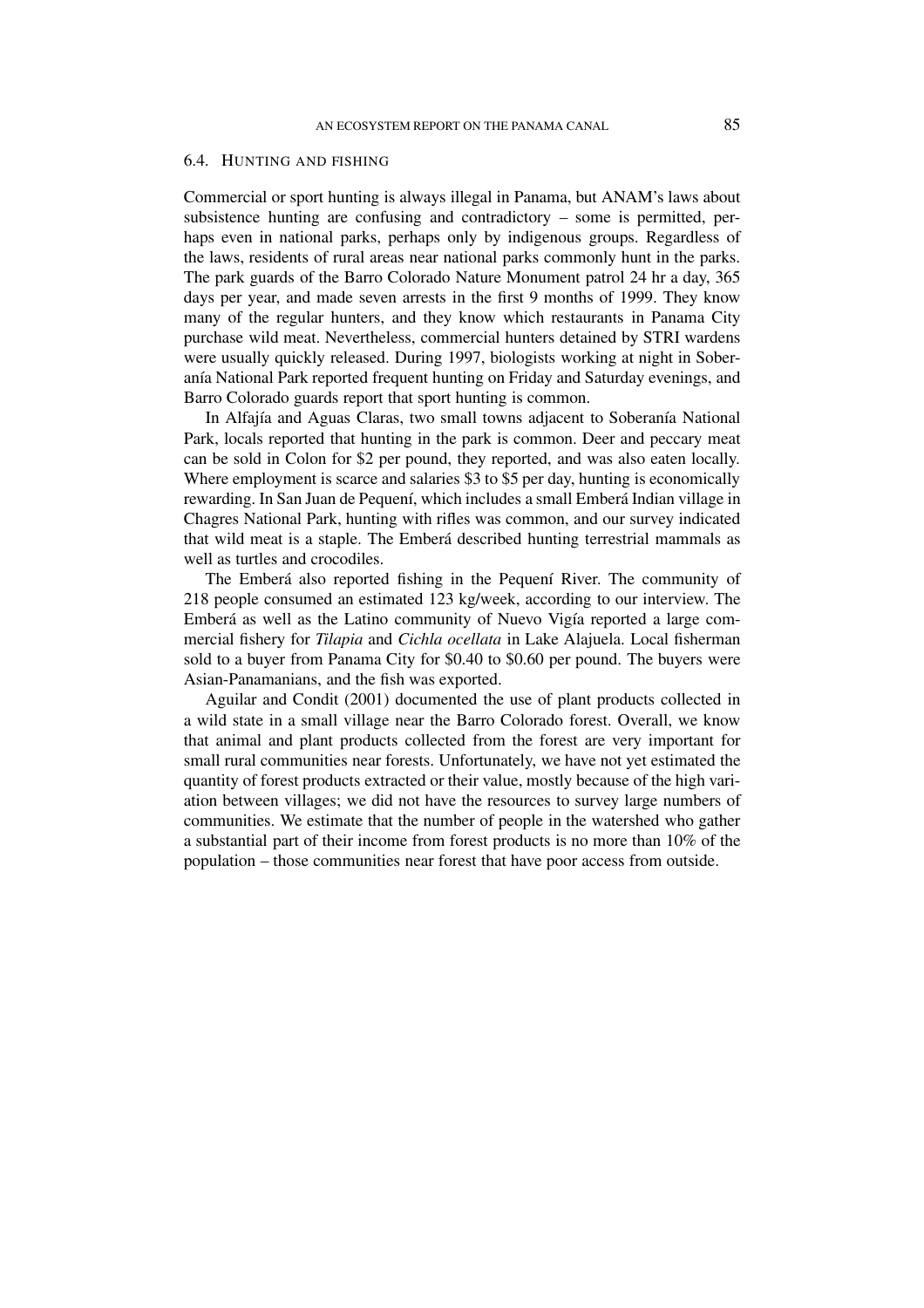#### 6.4. HUNTING AND FISHING

Commercial or sport hunting is always illegal in Panama, but ANAM's laws about subsistence hunting are confusing and contradictory – some is permitted, perhaps even in national parks, perhaps only by indigenous groups. Regardless of the laws, residents of rural areas near national parks commonly hunt in the parks. The park guards of the Barro Colorado Nature Monument patrol 24 hr a day, 365 days per year, and made seven arrests in the first 9 months of 1999. They know many of the regular hunters, and they know which restaurants in Panama City purchase wild meat. Nevertheless, commercial hunters detained by STRI wardens were usually quickly released. During 1997, biologists working at night in Soberanía National Park reported frequent hunting on Friday and Saturday evenings, and Barro Colorado guards report that sport hunting is common.

In Alfajía and Aguas Claras, two small towns adjacent to Soberanía National Park, locals reported that hunting in the park is common. Deer and peccary meat can be sold in Colon for \$2 per pound, they reported, and was also eaten locally. Where employment is scarce and salaries \$3 to \$5 per day, hunting is economically rewarding. In San Juan de Pequení, which includes a small Emberá Indian village in Chagres National Park, hunting with rifles was common, and our survey indicated that wild meat is a staple. The Emberá described hunting terrestrial mammals as well as turtles and crocodiles.

The Emberá also reported fishing in the Pequení River. The community of 218 people consumed an estimated 123 kg/week, according to our interview. The Emberá as well as the Latino community of Nuevo Vigía reported a large commercial fishery for *Tilapia* and *Cichla ocellata* in Lake Alajuela. Local fisherman sold to a buyer from Panama City for \$0.40 to \$0.60 per pound. The buyers were Asian-Panamanians, and the fish was exported.

Aguilar and Condit (2001) documented the use of plant products collected in a wild state in a small village near the Barro Colorado forest. Overall, we know that animal and plant products collected from the forest are very important for small rural communities near forests. Unfortunately, we have not yet estimated the quantity of forest products extracted or their value, mostly because of the high variation between villages; we did not have the resources to survey large numbers of communities. We estimate that the number of people in the watershed who gather a substantial part of their income from forest products is no more than 10% of the population – those communities near forest that have poor access from outside.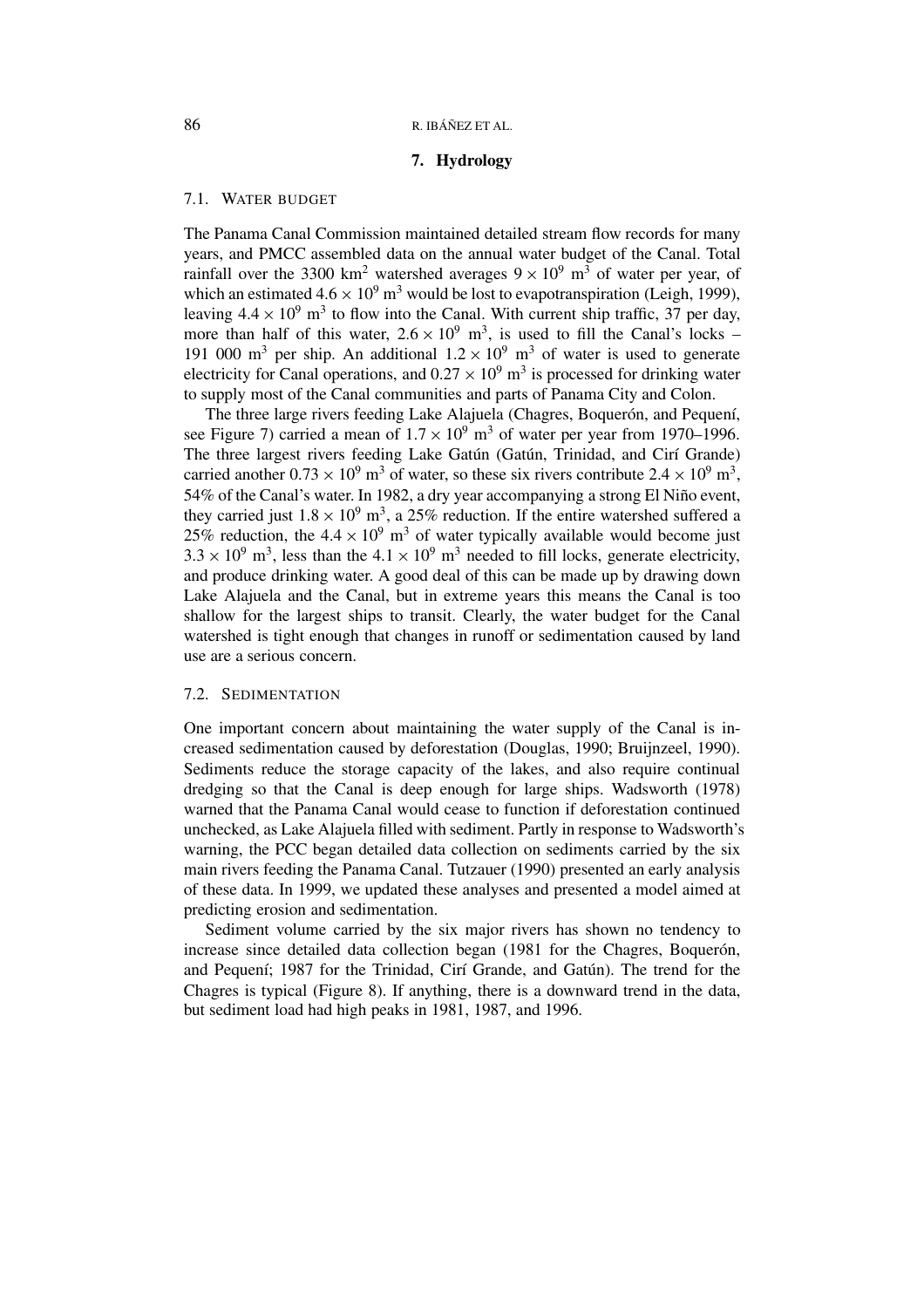# **7. Hydrology**

#### 7.1. WATER BUDGET

The Panama Canal Commission maintained detailed stream flow records for many years, and PMCC assembled data on the annual water budget of the Canal. Total rainfall over the 3300 km<sup>2</sup> watershed averages  $9 \times 10^9$  m<sup>3</sup> of water per year, of which an estimated  $4.6 \times 10^9$  m<sup>3</sup> would be lost to evapotranspiration (Leigh, 1999), leaving  $4.4 \times 10^9$  m<sup>3</sup> to flow into the Canal. With current ship traffic, 37 per day, more than half of this water,  $2.6 \times 10^9$  m<sup>3</sup>, is used to fill the Canal's locks – 191 000 m<sup>3</sup> per ship. An additional  $1.2 \times 10^9$  m<sup>3</sup> of water is used to generate electricity for Canal operations, and  $0.27 \times 10^9$  m<sup>3</sup> is processed for drinking water to supply most of the Canal communities and parts of Panama City and Colon.

The three large rivers feeding Lake Alajuela (Chagres, Boquerón, and Pequení, see Figure 7) carried a mean of  $1.7 \times 10^9$  m<sup>3</sup> of water per year from 1970–1996. The three largest rivers feeding Lake Gatún (Gatún, Trinidad, and Cirí Grande) carried another  $0.73 \times 10^9$  m<sup>3</sup> of water, so these six rivers contribute  $2.4 \times 10^9$  m<sup>3</sup>, 54% of the Canal's water. In 1982, a dry year accompanying a strong El Niño event, they carried just  $1.8 \times 10^9$  m<sup>3</sup>, a 25% reduction. If the entire watershed suffered a 25% reduction, the  $4.4 \times 10^9$  m<sup>3</sup> of water typically available would become just  $3.3 \times 10^9$  m<sup>3</sup>, less than the  $4.1 \times 10^9$  m<sup>3</sup> needed to fill locks, generate electricity, and produce drinking water. A good deal of this can be made up by drawing down Lake Alajuela and the Canal, but in extreme years this means the Canal is too shallow for the largest ships to transit. Clearly, the water budget for the Canal watershed is tight enough that changes in runoff or sedimentation caused by land use are a serious concern.

#### 7.2. SEDIMENTATION

One important concern about maintaining the water supply of the Canal is increased sedimentation caused by deforestation (Douglas, 1990; Bruijnzeel, 1990). Sediments reduce the storage capacity of the lakes, and also require continual dredging so that the Canal is deep enough for large ships. Wadsworth (1978) warned that the Panama Canal would cease to function if deforestation continued unchecked, as Lake Alajuela filled with sediment. Partly in response to Wadsworth's warning, the PCC began detailed data collection on sediments carried by the six main rivers feeding the Panama Canal. Tutzauer (1990) presented an early analysis of these data. In 1999, we updated these analyses and presented a model aimed at predicting erosion and sedimentation.

Sediment volume carried by the six major rivers has shown no tendency to increase since detailed data collection began (1981 for the Chagres, Boquerón, and Pequení; 1987 for the Trinidad, Cirí Grande, and Gatún). The trend for the Chagres is typical (Figure 8). If anything, there is a downward trend in the data, but sediment load had high peaks in 1981, 1987, and 1996.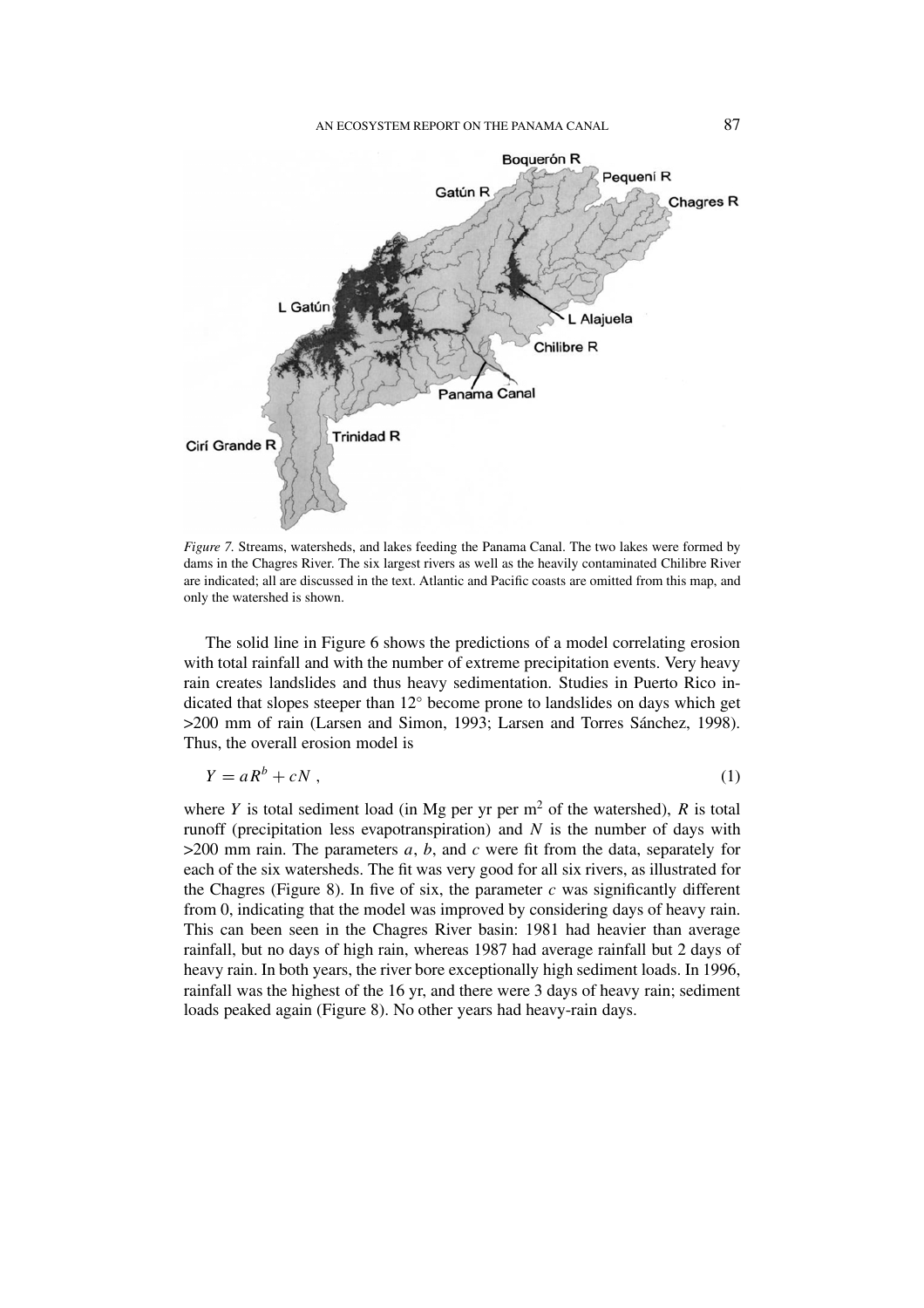

*Figure 7.* Streams, watersheds, and lakes feeding the Panama Canal. The two lakes were formed by dams in the Chagres River. The six largest rivers as well as the heavily contaminated Chilibre River are indicated; all are discussed in the text. Atlantic and Pacific coasts are omitted from this map, and only the watershed is shown.

The solid line in Figure 6 shows the predictions of a model correlating erosion with total rainfall and with the number of extreme precipitation events. Very heavy rain creates landslides and thus heavy sedimentation. Studies in Puerto Rico indicated that slopes steeper than 12◦ become prone to landslides on days which get >200 mm of rain (Larsen and Simon, 1993; Larsen and Torres Sánchez, 1998). Thus, the overall erosion model is

$$
Y = aR^b + cN \t{,} \t(1)
$$

where *Y* is total sediment load (in Mg per yr per  $m<sup>2</sup>$  of the watershed), *R* is total runoff (precipitation less evapotranspiration) and *N* is the number of days with  $>200$  mm rain. The parameters a, b, and c were fit from the data, separately for each of the six watersheds. The fit was very good for all six rivers, as illustrated for the Chagres (Figure 8). In five of six, the parameter  $c$  was significantly different from 0, indicating that the model was improved by considering days of heavy rain. This can been seen in the Chagres River basin: 1981 had heavier than average rainfall, but no days of high rain, whereas 1987 had average rainfall but 2 days of heavy rain. In both years, the river bore exceptionally high sediment loads. In 1996, rainfall was the highest of the 16 yr, and there were 3 days of heavy rain; sediment loads peaked again (Figure 8). No other years had heavy-rain days.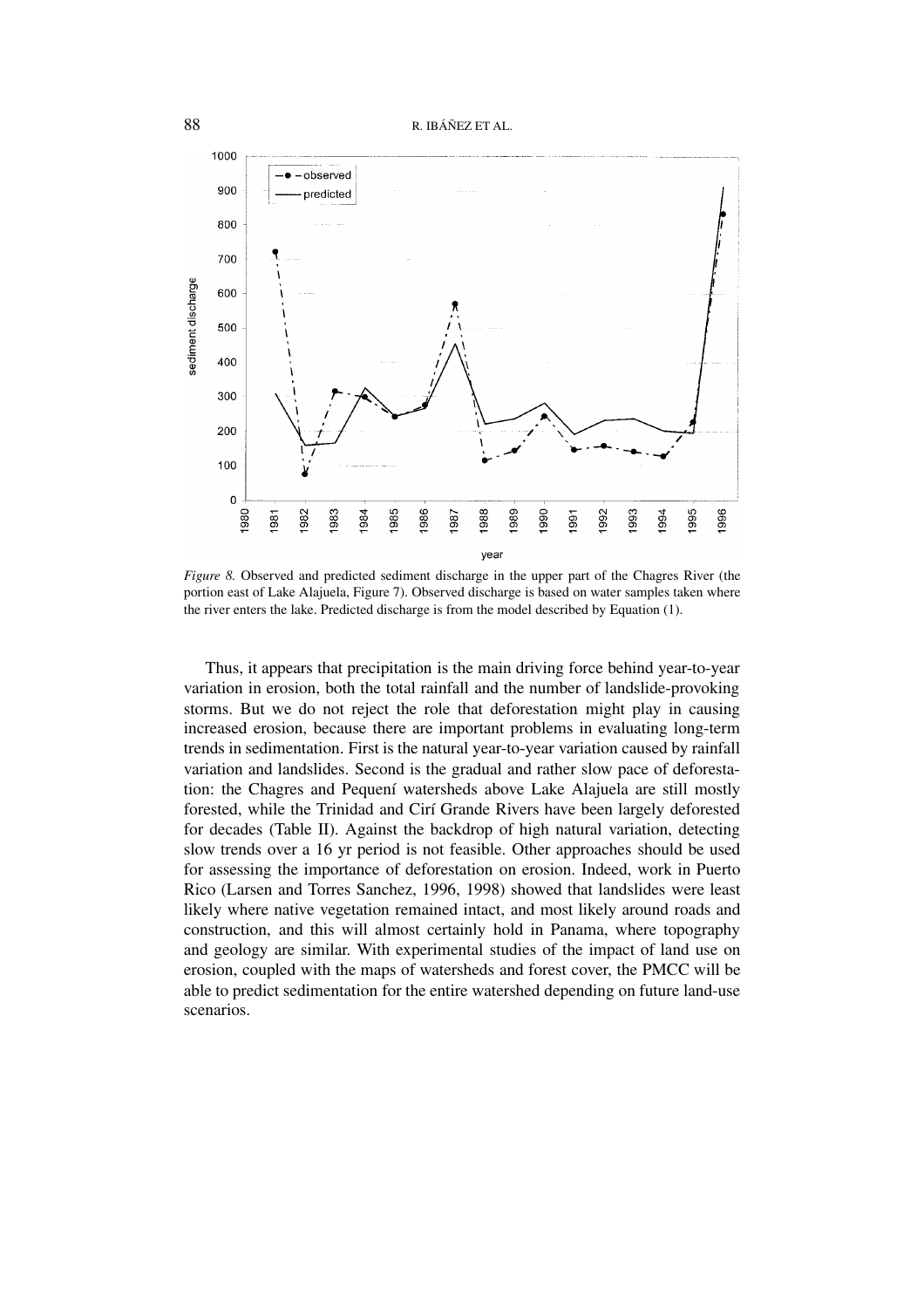

*Figure 8.* Observed and predicted sediment discharge in the upper part of the Chagres River (the portion east of Lake Alajuela, Figure 7). Observed discharge is based on water samples taken where the river enters the lake. Predicted discharge is from the model described by Equation (1).

Thus, it appears that precipitation is the main driving force behind year-to-year variation in erosion, both the total rainfall and the number of landslide-provoking storms. But we do not reject the role that deforestation might play in causing increased erosion, because there are important problems in evaluating long-term trends in sedimentation. First is the natural year-to-year variation caused by rainfall variation and landslides. Second is the gradual and rather slow pace of deforestation: the Chagres and Pequení watersheds above Lake Alajuela are still mostly forested, while the Trinidad and Cirí Grande Rivers have been largely deforested for decades (Table II). Against the backdrop of high natural variation, detecting slow trends over a 16 yr period is not feasible. Other approaches should be used for assessing the importance of deforestation on erosion. Indeed, work in Puerto Rico (Larsen and Torres Sanchez, 1996, 1998) showed that landslides were least likely where native vegetation remained intact, and most likely around roads and construction, and this will almost certainly hold in Panama, where topography and geology are similar. With experimental studies of the impact of land use on erosion, coupled with the maps of watersheds and forest cover, the PMCC will be able to predict sedimentation for the entire watershed depending on future land-use scenarios.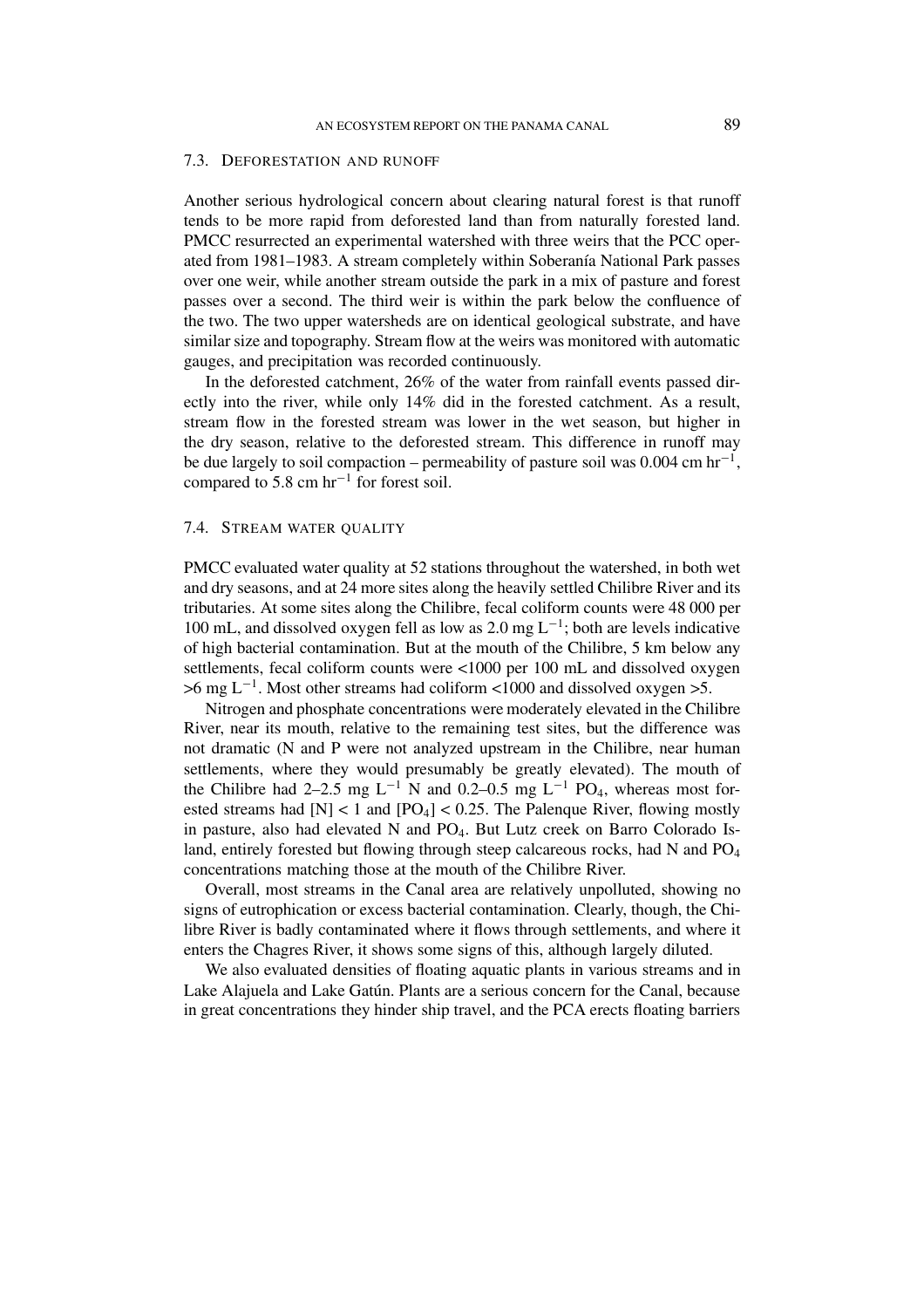#### 7.3. DEFORESTATION AND RUNOFF

Another serious hydrological concern about clearing natural forest is that runoff tends to be more rapid from deforested land than from naturally forested land. PMCC resurrected an experimental watershed with three weirs that the PCC operated from 1981–1983. A stream completely within Soberanía National Park passes over one weir, while another stream outside the park in a mix of pasture and forest passes over a second. The third weir is within the park below the confluence of the two. The two upper watersheds are on identical geological substrate, and have similar size and topography. Stream flow at the weirs was monitored with automatic gauges, and precipitation was recorded continuously.

In the deforested catchment, 26% of the water from rainfall events passed directly into the river, while only 14% did in the forested catchment. As a result, stream flow in the forested stream was lower in the wet season, but higher in the dry season, relative to the deforested stream. This difference in runoff may be due largely to soil compaction – permeability of pasture soil was 0.004 cm hr<sup>-1</sup>, compared to 5.8 cm  $hr^{-1}$  for forest soil.

#### 7.4. STREAM WATER QUALITY

PMCC evaluated water quality at 52 stations throughout the watershed, in both wet and dry seasons, and at 24 more sites along the heavily settled Chilibre River and its tributaries. At some sites along the Chilibre, fecal coliform counts were 48 000 per 100 mL, and dissolved oxygen fell as low as 2.0 mg  $L^{-1}$ ; both are levels indicative of high bacterial contamination. But at the mouth of the Chilibre, 5 km below any settlements, fecal coliform counts were <1000 per 100 mL and dissolved oxygen  $>6$  mg L<sup>-1</sup>. Most other streams had coliform <1000 and dissolved oxygen >5.

Nitrogen and phosphate concentrations were moderately elevated in the Chilibre River, near its mouth, relative to the remaining test sites, but the difference was not dramatic (N and P were not analyzed upstream in the Chilibre, near human settlements, where they would presumably be greatly elevated). The mouth of the Chilibre had 2–2.5 mg L<sup>-1</sup> N and 0.2–0.5 mg L<sup>-1</sup> PO<sub>4</sub>, whereas most forested streams had  $[N] < 1$  and  $[PO_4] < 0.25$ . The Palenque River, flowing mostly in pasture, also had elevated N and PO4. But Lutz creek on Barro Colorado Island, entirely forested but flowing through steep calcareous rocks, had N and  $PO<sub>4</sub>$ concentrations matching those at the mouth of the Chilibre River.

Overall, most streams in the Canal area are relatively unpolluted, showing no signs of eutrophication or excess bacterial contamination. Clearly, though, the Chilibre River is badly contaminated where it flows through settlements, and where it enters the Chagres River, it shows some signs of this, although largely diluted.

We also evaluated densities of floating aquatic plants in various streams and in Lake Alajuela and Lake Gatún. Plants are a serious concern for the Canal, because in great concentrations they hinder ship travel, and the PCA erects floating barriers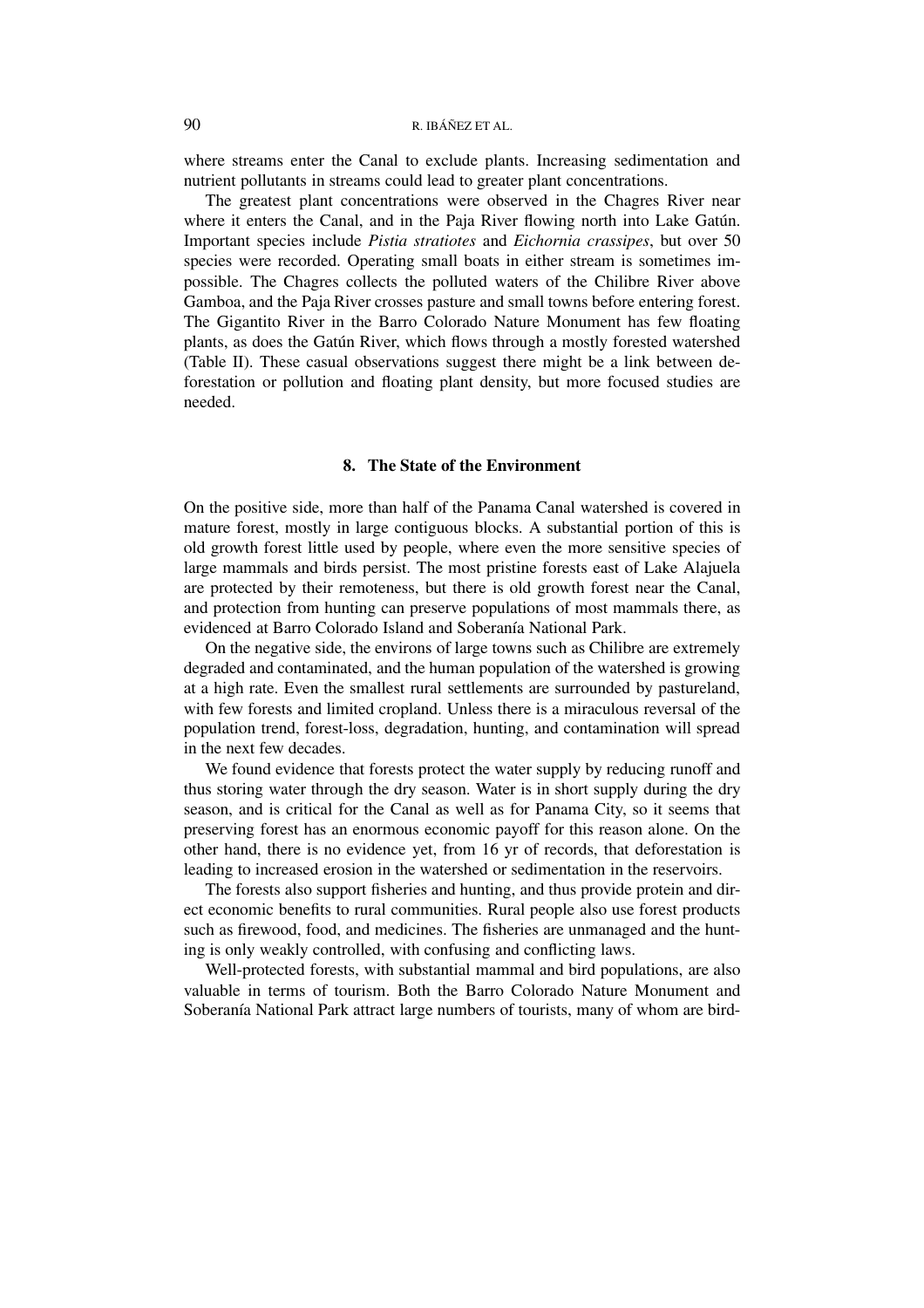where streams enter the Canal to exclude plants. Increasing sedimentation and nutrient pollutants in streams could lead to greater plant concentrations.

The greatest plant concentrations were observed in the Chagres River near where it enters the Canal, and in the Paja River flowing north into Lake Gatún. Important species include *Pistia stratiotes* and *Eichornia crassipes*, but over 50 species were recorded. Operating small boats in either stream is sometimes impossible. The Chagres collects the polluted waters of the Chilibre River above Gamboa, and the Paja River crosses pasture and small towns before entering forest. The Gigantito River in the Barro Colorado Nature Monument has few floating plants, as does the Gatún River, which flows through a mostly forested watershed (Table II). These casual observations suggest there might be a link between deforestation or pollution and floating plant density, but more focused studies are needed.

#### **8. The State of the Environment**

On the positive side, more than half of the Panama Canal watershed is covered in mature forest, mostly in large contiguous blocks. A substantial portion of this is old growth forest little used by people, where even the more sensitive species of large mammals and birds persist. The most pristine forests east of Lake Alajuela are protected by their remoteness, but there is old growth forest near the Canal, and protection from hunting can preserve populations of most mammals there, as evidenced at Barro Colorado Island and Soberanía National Park.

On the negative side, the environs of large towns such as Chilibre are extremely degraded and contaminated, and the human population of the watershed is growing at a high rate. Even the smallest rural settlements are surrounded by pastureland, with few forests and limited cropland. Unless there is a miraculous reversal of the population trend, forest-loss, degradation, hunting, and contamination will spread in the next few decades.

We found evidence that forests protect the water supply by reducing runoff and thus storing water through the dry season. Water is in short supply during the dry season, and is critical for the Canal as well as for Panama City, so it seems that preserving forest has an enormous economic payoff for this reason alone. On the other hand, there is no evidence yet, from 16 yr of records, that deforestation is leading to increased erosion in the watershed or sedimentation in the reservoirs.

The forests also support fisheries and hunting, and thus provide protein and direct economic benefits to rural communities. Rural people also use forest products such as firewood, food, and medicines. The fisheries are unmanaged and the hunting is only weakly controlled, with confusing and conflicting laws.

Well-protected forests, with substantial mammal and bird populations, are also valuable in terms of tourism. Both the Barro Colorado Nature Monument and Soberanía National Park attract large numbers of tourists, many of whom are bird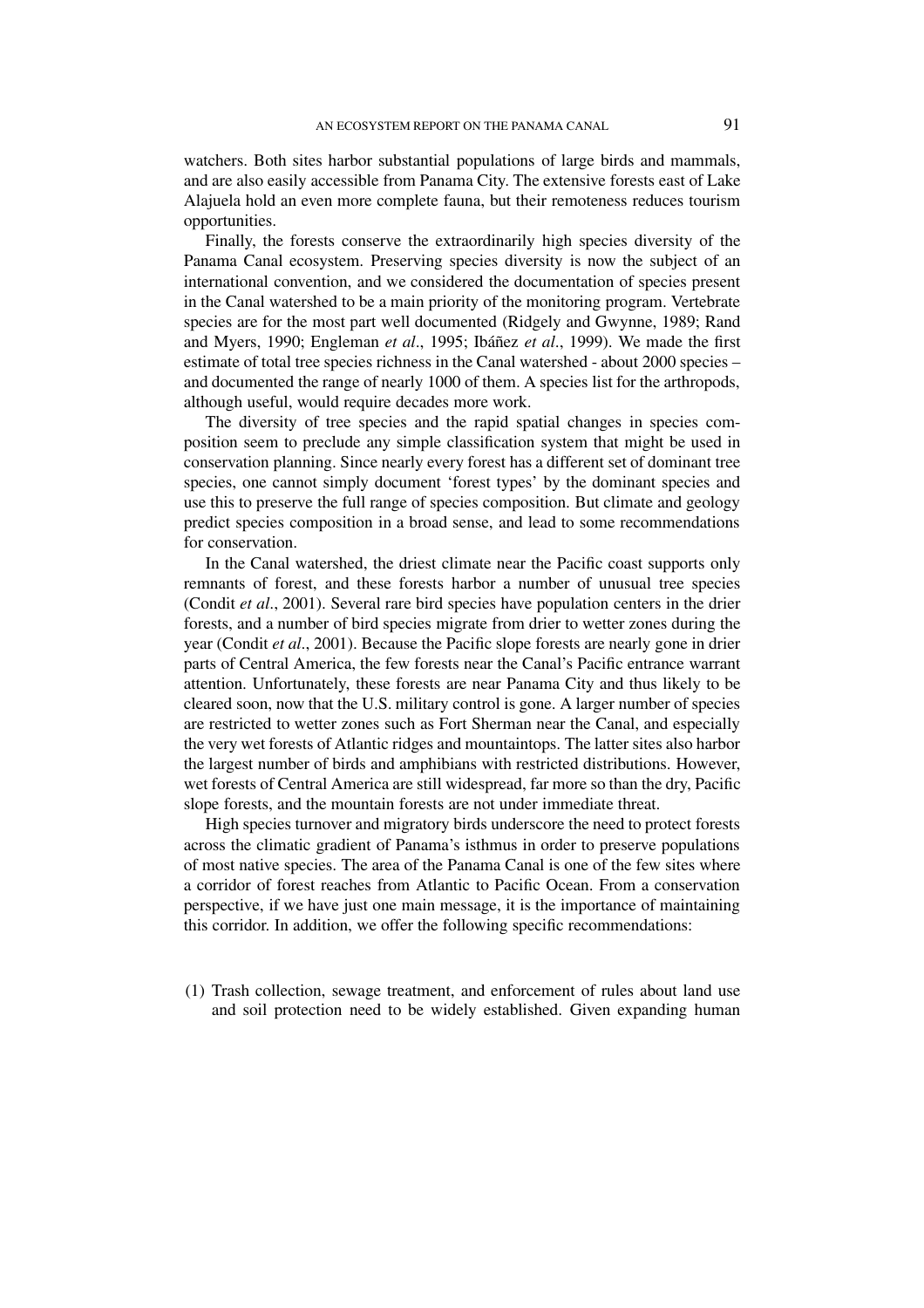watchers. Both sites harbor substantial populations of large birds and mammals, and are also easily accessible from Panama City. The extensive forests east of Lake Alajuela hold an even more complete fauna, but their remoteness reduces tourism opportunities.

Finally, the forests conserve the extraordinarily high species diversity of the Panama Canal ecosystem. Preserving species diversity is now the subject of an international convention, and we considered the documentation of species present in the Canal watershed to be a main priority of the monitoring program. Vertebrate species are for the most part well documented (Ridgely and Gwynne, 1989; Rand and Myers, 1990; Engleman *et al*., 1995; Ibáñez *et al*., 1999). We made the first estimate of total tree species richness in the Canal watershed - about 2000 species – and documented the range of nearly 1000 of them. A species list for the arthropods, although useful, would require decades more work.

The diversity of tree species and the rapid spatial changes in species composition seem to preclude any simple classification system that might be used in conservation planning. Since nearly every forest has a different set of dominant tree species, one cannot simply document 'forest types' by the dominant species and use this to preserve the full range of species composition. But climate and geology predict species composition in a broad sense, and lead to some recommendations for conservation.

In the Canal watershed, the driest climate near the Pacific coast supports only remnants of forest, and these forests harbor a number of unusual tree species (Condit *et al*., 2001). Several rare bird species have population centers in the drier forests, and a number of bird species migrate from drier to wetter zones during the year (Condit *et al*., 2001). Because the Pacific slope forests are nearly gone in drier parts of Central America, the few forests near the Canal's Pacific entrance warrant attention. Unfortunately, these forests are near Panama City and thus likely to be cleared soon, now that the U.S. military control is gone. A larger number of species are restricted to wetter zones such as Fort Sherman near the Canal, and especially the very wet forests of Atlantic ridges and mountaintops. The latter sites also harbor the largest number of birds and amphibians with restricted distributions. However, wet forests of Central America are still widespread, far more so than the dry, Pacific slope forests, and the mountain forests are not under immediate threat.

High species turnover and migratory birds underscore the need to protect forests across the climatic gradient of Panama's isthmus in order to preserve populations of most native species. The area of the Panama Canal is one of the few sites where a corridor of forest reaches from Atlantic to Pacific Ocean. From a conservation perspective, if we have just one main message, it is the importance of maintaining this corridor. In addition, we offer the following specific recommendations:

(1) Trash collection, sewage treatment, and enforcement of rules about land use and soil protection need to be widely established. Given expanding human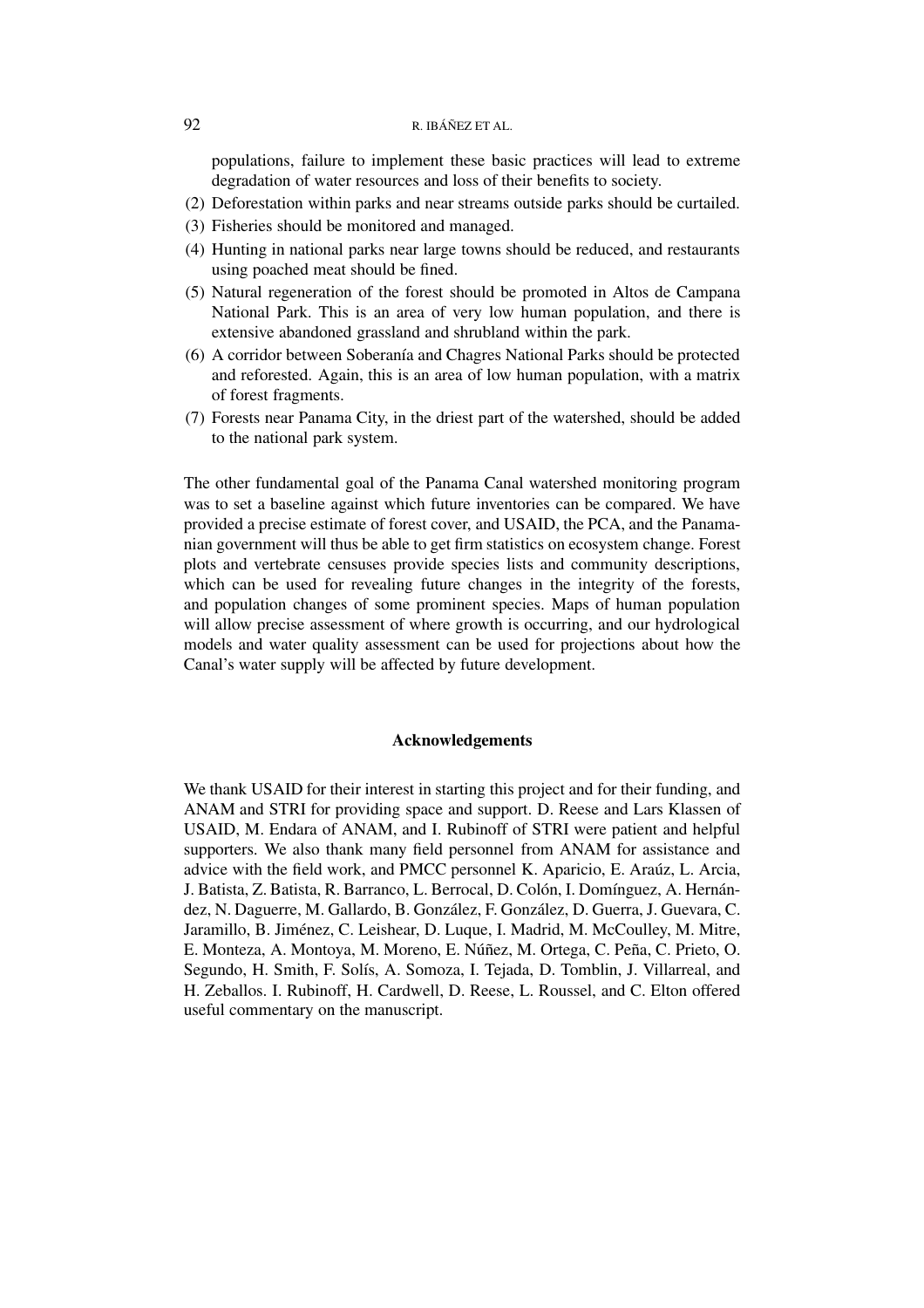# 92 R. IBÁÑEZ ET AL.

populations, failure to implement these basic practices will lead to extreme degradation of water resources and loss of their benefits to society.

- (2) Deforestation within parks and near streams outside parks should be curtailed.
- (3) Fisheries should be monitored and managed.
- (4) Hunting in national parks near large towns should be reduced, and restaurants using poached meat should be fined.
- (5) Natural regeneration of the forest should be promoted in Altos de Campana National Park. This is an area of very low human population, and there is extensive abandoned grassland and shrubland within the park.
- (6) A corridor between Soberanía and Chagres National Parks should be protected and reforested. Again, this is an area of low human population, with a matrix of forest fragments.
- (7) Forests near Panama City, in the driest part of the watershed, should be added to the national park system.

The other fundamental goal of the Panama Canal watershed monitoring program was to set a baseline against which future inventories can be compared. We have provided a precise estimate of forest cover, and USAID, the PCA, and the Panamanian government will thus be able to get firm statistics on ecosystem change. Forest plots and vertebrate censuses provide species lists and community descriptions, which can be used for revealing future changes in the integrity of the forests, and population changes of some prominent species. Maps of human population will allow precise assessment of where growth is occurring, and our hydrological models and water quality assessment can be used for projections about how the Canal's water supply will be affected by future development.

#### **Acknowledgements**

We thank USAID for their interest in starting this project and for their funding, and ANAM and STRI for providing space and support. D. Reese and Lars Klassen of USAID, M. Endara of ANAM, and I. Rubinoff of STRI were patient and helpful supporters. We also thank many field personnel from ANAM for assistance and advice with the field work, and PMCC personnel K. Aparicio, E. Araúz, L. Arcia, J. Batista, Z. Batista, R. Barranco, L. Berrocal, D. Colón, I. Domínguez, A. Hernández, N. Daguerre, M. Gallardo, B. González, F. González, D. Guerra, J. Guevara, C. Jaramillo, B. Jiménez, C. Leishear, D. Luque, I. Madrid, M. McCoulley, M. Mitre, E. Monteza, A. Montoya, M. Moreno, E. Núñez, M. Ortega, C. Peña, C. Prieto, O. Segundo, H. Smith, F. Solís, A. Somoza, I. Tejada, D. Tomblin, J. Villarreal, and H. Zeballos. I. Rubinoff, H. Cardwell, D. Reese, L. Roussel, and C. Elton offered useful commentary on the manuscript.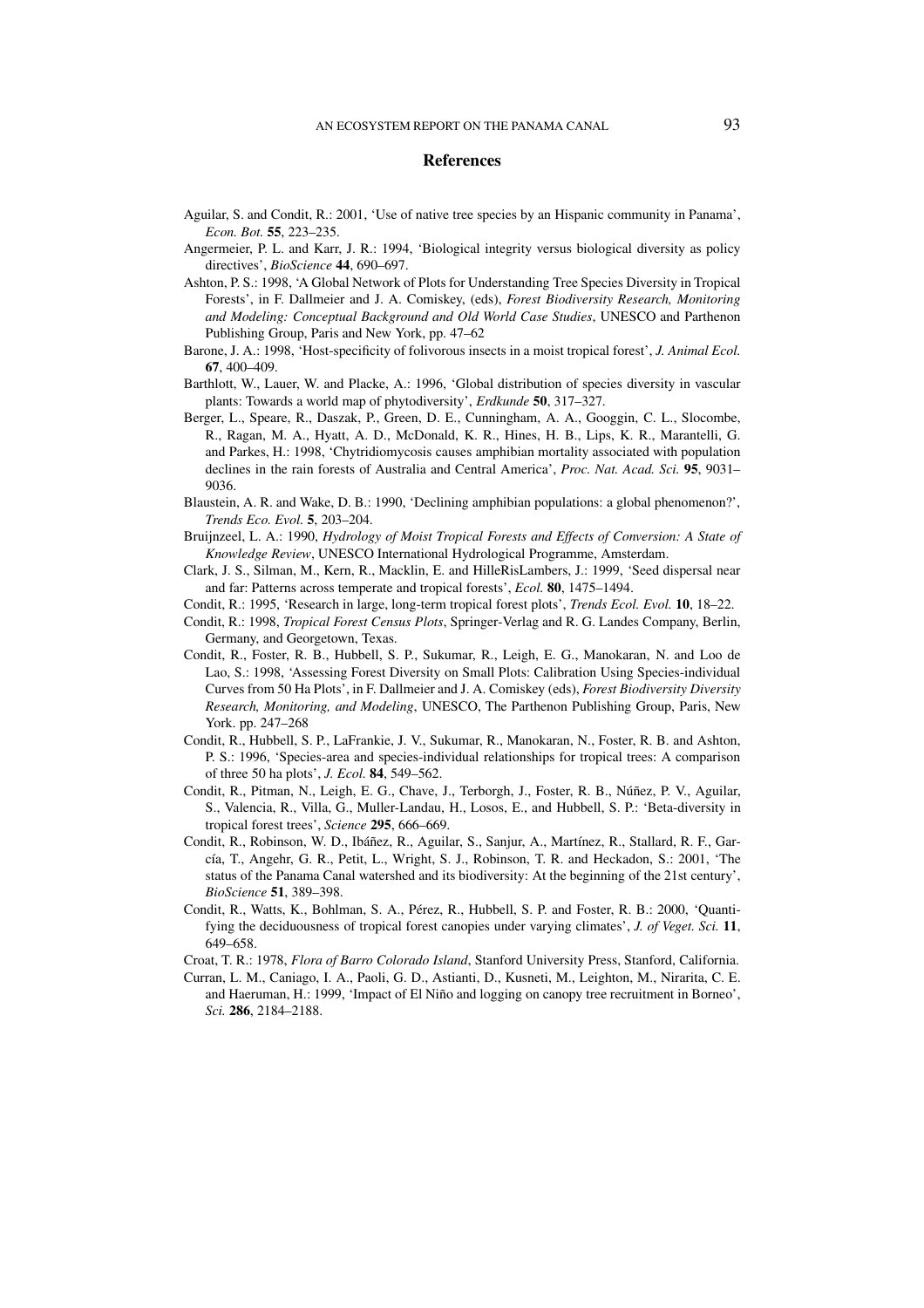# **References**

- Aguilar, S. and Condit, R.: 2001, 'Use of native tree species by an Hispanic community in Panama', *Econ. Bot.* **55**, 223–235.
- Angermeier, P. L. and Karr, J. R.: 1994, 'Biological integrity versus biological diversity as policy directives', *BioScience* **44**, 690–697.
- Ashton, P. S.: 1998, 'A Global Network of Plots for Understanding Tree Species Diversity in Tropical Forests', in F. Dallmeier and J. A. Comiskey, (eds), *Forest Biodiversity Research, Monitoring and Modeling: Conceptual Background and Old World Case Studies*, UNESCO and Parthenon Publishing Group, Paris and New York, pp. 47–62
- Barone, J. A.: 1998, 'Host-specificity of folivorous insects in a moist tropical forest', *J. Animal Ecol.* **67**, 400–409.
- Barthlott, W., Lauer, W. and Placke, A.: 1996, 'Global distribution of species diversity in vascular plants: Towards a world map of phytodiversity', *Erdkunde* **50**, 317–327.
- Berger, L., Speare, R., Daszak, P., Green, D. E., Cunningham, A. A., Googgin, C. L., Slocombe, R., Ragan, M. A., Hyatt, A. D., McDonald, K. R., Hines, H. B., Lips, K. R., Marantelli, G. and Parkes, H.: 1998, 'Chytridiomycosis causes amphibian mortality associated with population declines in the rain forests of Australia and Central America', *Proc. Nat. Acad. Sci.* **95**, 9031– 9036.
- Blaustein, A. R. and Wake, D. B.: 1990, 'Declining amphibian populations: a global phenomenon?', *Trends Eco. Evol.* **5**, 203–204.
- Bruijnzeel, L. A.: 1990, *Hydrology of Moist Tropical Forests and Effects of Conversion: A State of Knowledge Review*, UNESCO International Hydrological Programme, Amsterdam.
- Clark, J. S., Silman, M., Kern, R., Macklin, E. and HilleRisLambers, J.: 1999, 'Seed dispersal near and far: Patterns across temperate and tropical forests', *Ecol.* **80**, 1475–1494.
- Condit, R.: 1995, 'Research in large, long-term tropical forest plots', *Trends Ecol. Evol.* **10**, 18–22.
- Condit, R.: 1998, *Tropical Forest Census Plots*, Springer-Verlag and R. G. Landes Company, Berlin, Germany, and Georgetown, Texas.
- Condit, R., Foster, R. B., Hubbell, S. P., Sukumar, R., Leigh, E. G., Manokaran, N. and Loo de Lao, S.: 1998, 'Assessing Forest Diversity on Small Plots: Calibration Using Species-individual Curves from 50 Ha Plots', in F. Dallmeier and J. A. Comiskey (eds), *Forest Biodiversity Diversity Research, Monitoring, and Modeling*, UNESCO, The Parthenon Publishing Group, Paris, New York. pp. 247–268
- Condit, R., Hubbell, S. P., LaFrankie, J. V., Sukumar, R., Manokaran, N., Foster, R. B. and Ashton, P. S.: 1996, 'Species-area and species-individual relationships for tropical trees: A comparison of three 50 ha plots', *J. Ecol.* **84**, 549–562.
- Condit, R., Pitman, N., Leigh, E. G., Chave, J., Terborgh, J., Foster, R. B., Núñez, P. V., Aguilar, S., Valencia, R., Villa, G., Muller-Landau, H., Losos, E., and Hubbell, S. P.: 'Beta-diversity in tropical forest trees', *Science* **295**, 666–669.
- Condit, R., Robinson, W. D., Ibáñez, R., Aguilar, S., Sanjur, A., Martínez, R., Stallard, R. F., García, T., Angehr, G. R., Petit, L., Wright, S. J., Robinson, T. R. and Heckadon, S.: 2001, 'The status of the Panama Canal watershed and its biodiversity: At the beginning of the 21st century', *BioScience* **51**, 389–398.
- Condit, R., Watts, K., Bohlman, S. A., Pérez, R., Hubbell, S. P. and Foster, R. B.: 2000, 'Quantifying the deciduousness of tropical forest canopies under varying climates', *J. of Veget. Sci.* **11**, 649–658.
- Croat, T. R.: 1978, *Flora of Barro Colorado Island*, Stanford University Press, Stanford, California.
- Curran, L. M., Caniago, I. A., Paoli, G. D., Astianti, D., Kusneti, M., Leighton, M., Nirarita, C. E. and Haeruman, H.: 1999, 'Impact of El Niño and logging on canopy tree recruitment in Borneo', *Sci.* **286**, 2184–2188.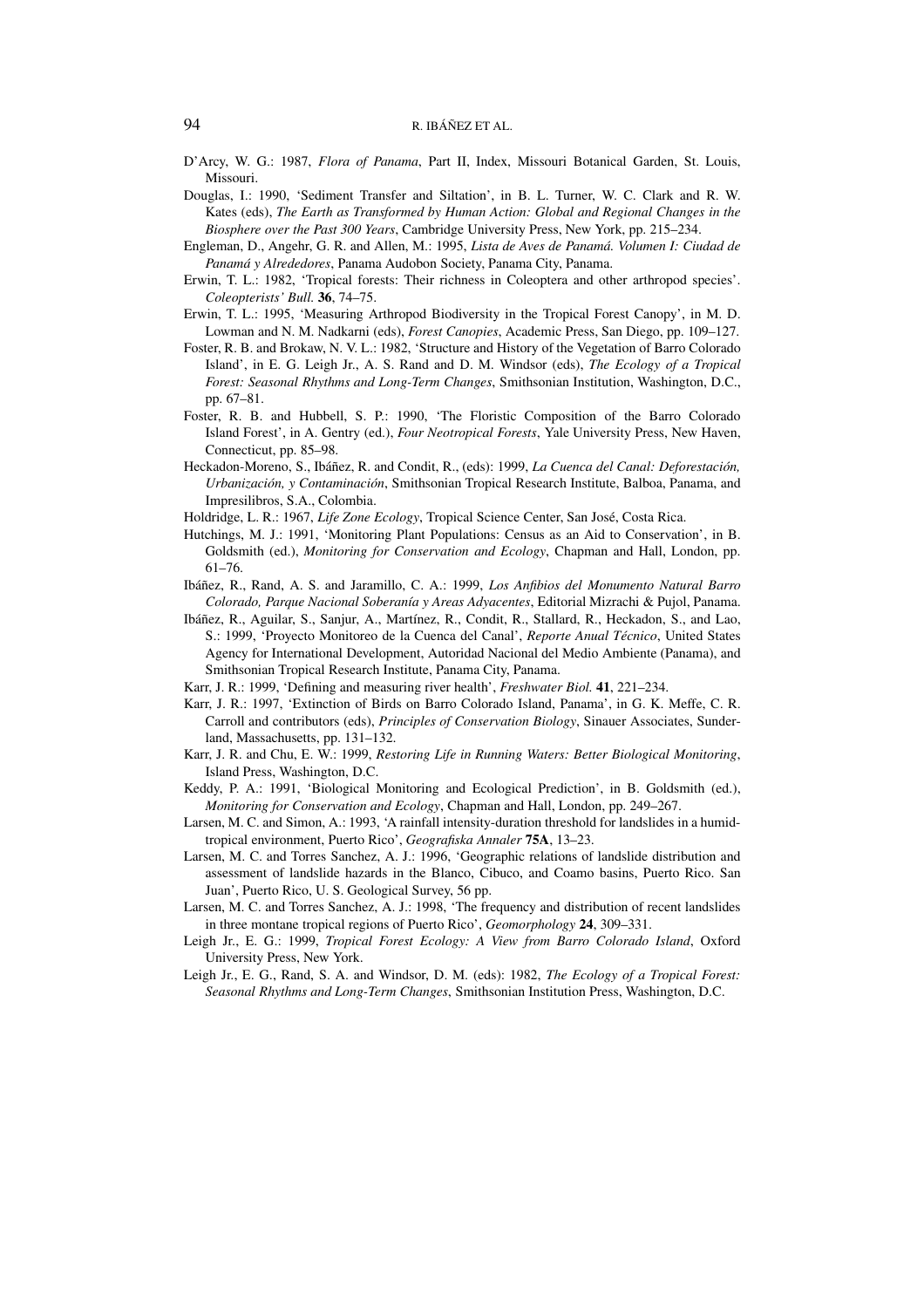#### 94 R. IBÁÑEZ ET AL.

- D'Arcy, W. G.: 1987, *Flora of Panama*, Part II, Index, Missouri Botanical Garden, St. Louis, Missouri.
- Douglas, I.: 1990, 'Sediment Transfer and Siltation', in B. L. Turner, W. C. Clark and R. W. Kates (eds), *The Earth as Transformed by Human Action: Global and Regional Changes in the Biosphere over the Past 300 Years*, Cambridge University Press, New York, pp. 215–234.
- Engleman, D., Angehr, G. R. and Allen, M.: 1995, *Lista de Aves de Panamá. Volumen I: Ciudad de Panamá y Alrededores*, Panama Audobon Society, Panama City, Panama.
- Erwin, T. L.: 1982, 'Tropical forests: Their richness in Coleoptera and other arthropod species'. *Coleopterists' Bull.* **36**, 74–75.
- Erwin, T. L.: 1995, 'Measuring Arthropod Biodiversity in the Tropical Forest Canopy', in M. D. Lowman and N. M. Nadkarni (eds), *Forest Canopies*, Academic Press, San Diego, pp. 109–127.
- Foster, R. B. and Brokaw, N. V. L.: 1982, 'Structure and History of the Vegetation of Barro Colorado Island', in E. G. Leigh Jr., A. S. Rand and D. M. Windsor (eds), *The Ecology of a Tropical Forest: Seasonal Rhythms and Long-Term Changes*, Smithsonian Institution, Washington, D.C., pp. 67–81.
- Foster, R. B. and Hubbell, S. P.: 1990, 'The Floristic Composition of the Barro Colorado Island Forest', in A. Gentry (ed.), *Four Neotropical Forests*, Yale University Press, New Haven, Connecticut, pp. 85–98.
- Heckadon-Moreno, S., Ibáñez, R. and Condit, R., (eds): 1999, *La Cuenca del Canal: Deforestación, Urbanización, y Contaminación*, Smithsonian Tropical Research Institute, Balboa, Panama, and Impresilibros, S.A., Colombia.
- Holdridge, L. R.: 1967, *Life Zone Ecology*, Tropical Science Center, San José, Costa Rica.
- Hutchings, M. J.: 1991, 'Monitoring Plant Populations: Census as an Aid to Conservation', in B. Goldsmith (ed.), *Monitoring for Conservation and Ecology*, Chapman and Hall, London, pp. 61–76.
- Ibáñez, R., Rand, A. S. and Jaramillo, C. A.: 1999, *Los Anfibios del Monumento Natural Barro Colorado, Parque Nacional Soberanía y Areas Adyacentes*, Editorial Mizrachi & Pujol, Panama.
- Ibáñez, R., Aguilar, S., Sanjur, A., Martínez, R., Condit, R., Stallard, R., Heckadon, S., and Lao, S.: 1999, 'Proyecto Monitoreo de la Cuenca del Canal', *Reporte Anual Técnico*, United States Agency for International Development, Autoridad Nacional del Medio Ambiente (Panama), and Smithsonian Tropical Research Institute, Panama City, Panama.
- Karr, J. R.: 1999, 'Defining and measuring river health', *Freshwater Biol.* **41**, 221–234.
- Karr, J. R.: 1997, 'Extinction of Birds on Barro Colorado Island, Panama', in G. K. Meffe, C. R. Carroll and contributors (eds), *Principles of Conservation Biology*, Sinauer Associates, Sunderland, Massachusetts, pp. 131–132.
- Karr, J. R. and Chu, E. W.: 1999, *Restoring Life in Running Waters: Better Biological Monitoring*, Island Press, Washington, D.C.
- Keddy, P. A.: 1991, 'Biological Monitoring and Ecological Prediction', in B. Goldsmith (ed.), *Monitoring for Conservation and Ecology*, Chapman and Hall, London, pp. 249–267.
- Larsen, M. C. and Simon, A.: 1993, 'A rainfall intensity-duration threshold for landslides in a humidtropical environment, Puerto Rico', *Geografiska Annaler* **75A**, 13–23.
- Larsen, M. C. and Torres Sanchez, A. J.: 1996, 'Geographic relations of landslide distribution and assessment of landslide hazards in the Blanco, Cibuco, and Coamo basins, Puerto Rico. San Juan', Puerto Rico, U. S. Geological Survey, 56 pp.
- Larsen, M. C. and Torres Sanchez, A. J.: 1998, 'The frequency and distribution of recent landslides in three montane tropical regions of Puerto Rico', *Geomorphology* **24**, 309–331.
- Leigh Jr., E. G.: 1999, *Tropical Forest Ecology: A View from Barro Colorado Island*, Oxford University Press, New York.
- Leigh Jr., E. G., Rand, S. A. and Windsor, D. M. (eds): 1982, *The Ecology of a Tropical Forest: Seasonal Rhythms and Long-Term Changes*, Smithsonian Institution Press, Washington, D.C.